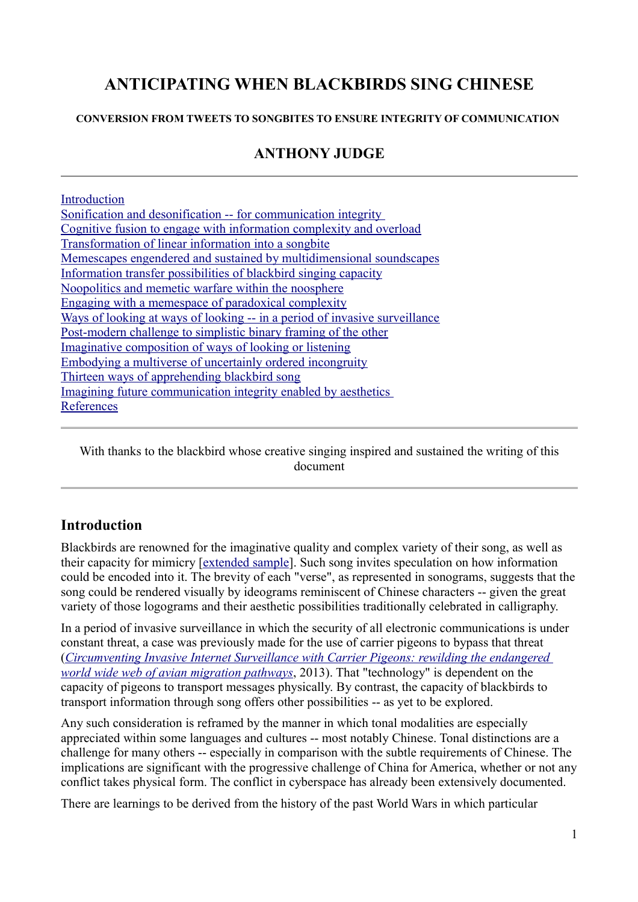# **ANTICIPATING WHEN BLACKBIRDS SING CHINESE**

**CONVERSION FROM TWEETS TO SONGBITES TO ENSURE INTEGRITY OF COMMUNICATION** 

# **ANTHONY JUDGE**

| Introduction                                                               |
|----------------------------------------------------------------------------|
| <u>Sonification and desonification -- for communication integrity</u>      |
| Cognitive fusion to engage with information complexity and overload        |
| Transformation of linear information into a songbite                       |
| Memescapes engendered and sustained by multidimensional soundscapes        |
| Information transfer possibilities of blackbird singing capacity           |
| Noopolitics and memetic warfare within the noosphere                       |
| Engaging with a memespace of paradoxical complexity                        |
| Ways of looking at ways of looking -- in a period of invasive surveillance |
| Post-modern challenge to simplistic binary framing of the other            |
| Imaginative composition of ways of looking or listening                    |
| Embodying a multiverse of uncertainly ordered incongruity                  |
| Thirteen ways of apprehending blackbird song                               |
| Imagining future communication integrity enabled by aesthetics             |
| References                                                                 |

With thanks to the blackbird whose creative singing inspired and sustained the writing of this document

### **Introduction**

Blackbirds are renowned for the imaginative quality and complex variety of their song, as well as their capacity for mimicry [extended sample]. Such song invites speculation on how information could be encoded into it. The brevity of each "verse", as represented in sonograms, suggests that the song could be rendered visually by ideograms reminiscent of Chinese characters -- given the great variety of those logograms and their aesthetic possibilities traditionally celebrated in calligraphy.

In a period of invasive surveillance in which the security of all electronic communications is under constant threat, a case was previously made for the use of carrier pigeons to bypass that threat (*Circumventing Invasive Internet Surveillance with Carrier Pigeons: rewilding the endangered world wide web of avian migration pathways*, 2013). That "technology" is dependent on the capacity of pigeons to transport messages physically. By contrast, the capacity of blackbirds to transport information through song offers other possibilities -- as yet to be explored.

Any such consideration is reframed by the manner in which tonal modalities are especially appreciated within some languages and cultures -- most notably Chinese. Tonal distinctions are a challenge for many others -- especially in comparison with the subtle requirements of Chinese. The implications are significant with the progressive challenge of China for America, whether or not any conflict takes physical form. The conflict in cyberspace has already been extensively documented.

There are learnings to be derived from the history of the past World Wars in which particular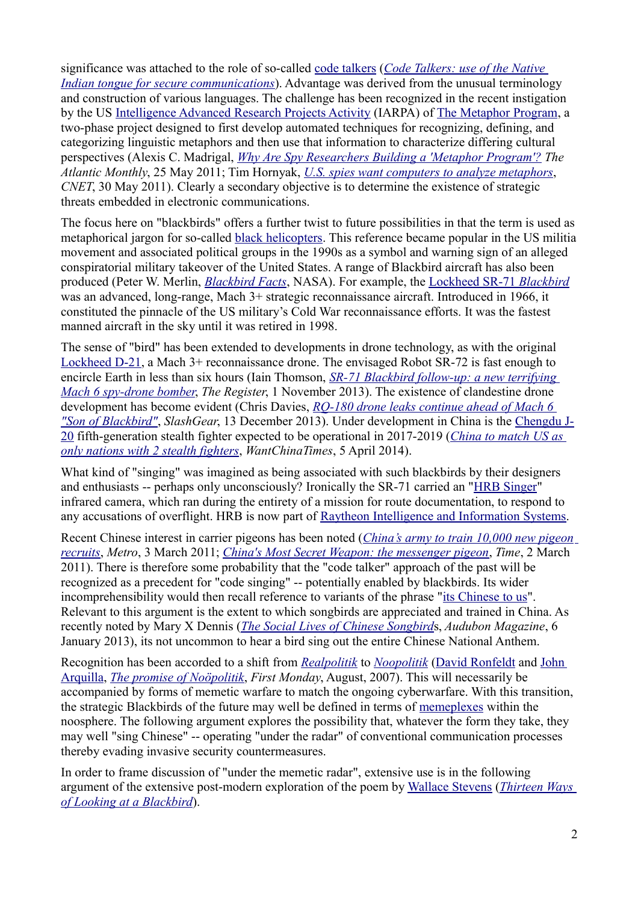significance was attached to the role of so-called code talkers (*Code Talkers: use of the Native Indian tongue for secure communications*). Advantage was derived from the unusual terminology and construction of various languages. The challenge has been recognized in the recent instigation by the US Intelligence Advanced Research Projects Activity (IARPA) of The Metaphor Program, a two-phase project designed to first develop automated techniques for recognizing, defining, and categorizing linguistic metaphors and then use that information to characterize differing cultural perspectives (Alexis C. Madrigal, *Why Are Spy Researchers Building a 'Metaphor Program'? The Atlantic Monthly*, 25 May 2011; Tim Hornyak, *U.S. spies want computers to analyze metaphors*, *CNET*, 30 May 2011). Clearly a secondary objective is to determine the existence of strategic threats embedded in electronic communications.

The focus here on "blackbirds" offers a further twist to future possibilities in that the term is used as metaphorical jargon for so-called black helicopters. This reference became popular in the US militia movement and associated political groups in the 1990s as a symbol and warning sign of an alleged conspiratorial military takeover of the United States. A range of Blackbird aircraft has also been produced (Peter W. Merlin, *Blackbird Facts*, NASA). For example, the Lockheed SR-71 *Blackbird* was an advanced, long-range, Mach 3+ strategic reconnaissance aircraft. Introduced in 1966, it constituted the pinnacle of the US military's Cold War reconnaissance efforts. It was the fastest manned aircraft in the sky until it was retired in 1998.

The sense of "bird" has been extended to developments in drone technology, as with the original Lockheed D-21, a Mach 3+ reconnaissance drone. The envisaged Robot SR-72 is fast enough to encircle Earth in less than six hours (Iain Thomson, *SR-71 Blackbird follow-up: a new terrifying Mach 6 spy-drone bomber*, *The Register*, 1 November 2013). The existence of clandestine drone development has become evident (Chris Davies, *RQ-180 drone leaks continue ahead of Mach 6 "Son of Blackbird"*, *SlashGear*, 13 December 2013). Under development in China is the Chengdu J-20 fifth-generation stealth fighter expected to be operational in 2017-2019 (*China to match US as only nations with 2 stealth fighters*, *WantChinaTimes*, 5 April 2014).

What kind of "singing" was imagined as being associated with such blackbirds by their designers and enthusiasts -- perhaps only unconsciously? Ironically the SR-71 carried an "HRB Singer" infrared camera, which ran during the entirety of a mission for route documentation, to respond to any accusations of overflight. HRB is now part of Raytheon Intelligence and Information Systems.

Recent Chinese interest in carrier pigeons has been noted (*China's army to train 10,000 new pigeon recruits*, *Metro*, 3 March 2011; *China's Most Secret Weapon: the messenger pigeon*, *Time*, 2 March 2011). There is therefore some probability that the "code talker" approach of the past will be recognized as a precedent for "code singing" -- potentially enabled by blackbirds. Its wider incomprehensibility would then recall reference to variants of the phrase "its Chinese to us". Relevant to this argument is the extent to which songbirds are appreciated and trained in China. As recently noted by Mary X Dennis (*The Social Lives of Chinese Songbird*s, *Audubon Magazine*, 6 January 2013), its not uncommon to hear a bird sing out the entire Chinese National Anthem.

Recognition has been accorded to a shift from *Realpolitik* to *Noopolitik* (David Ronfeldt and John Arquilla, *The promise of Noöpolitik*, *First Monday*, August, 2007). This will necessarily be accompanied by forms of memetic warfare to match the ongoing cyberwarfare. With this transition, the strategic Blackbirds of the future may well be defined in terms of memeplexes within the noosphere. The following argument explores the possibility that, whatever the form they take, they may well "sing Chinese" -- operating "under the radar" of conventional communication processes thereby evading invasive security countermeasures.

In order to frame discussion of "under the memetic radar", extensive use is in the following argument of the extensive post-modern exploration of the poem by Wallace Stevens (*Thirteen Ways of Looking at a Blackbird*).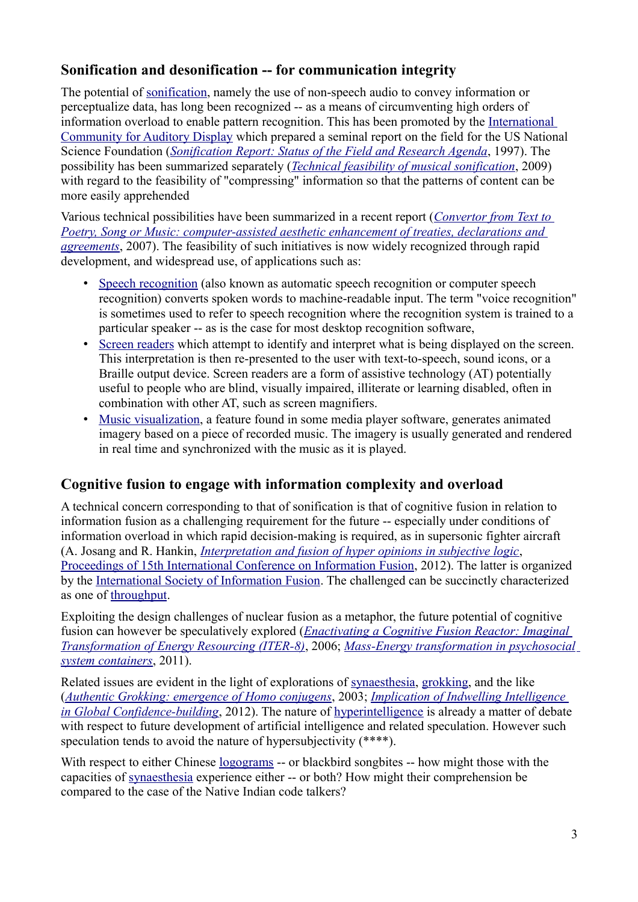# **Sonification and desonification -- for communication integrity**

The potential of sonification, namely the use of non-speech audio to convey information or perceptualize data, has long been recognized -- as a means of circumventing high orders of information overload to enable pattern recognition. This has been promoted by the International Community for Auditory Display which prepared a seminal report on the field for the US National Science Foundation (*Sonification Report: Status of the Field and Research Agenda*, 1997). The possibility has been summarized separately (*Technical feasibility of musical sonification*, 2009) with regard to the feasibility of "compressing" information so that the patterns of content can be more easily apprehended

Various technical possibilities have been summarized in a recent report (*Convertor from Text to Poetry, Song or Music: computer-assisted aesthetic enhancement of treaties, declarations and agreements*, 2007). The feasibility of such initiatives is now widely recognized through rapid development, and widespread use, of applications such as:

- Speech recognition (also known as automatic speech recognition or computer speech recognition) converts spoken words to machine-readable input. The term "voice recognition" is sometimes used to refer to speech recognition where the recognition system is trained to a particular speaker -- as is the case for most desktop recognition software,
- Screen readers which attempt to identify and interpret what is being displayed on the screen. This interpretation is then re-presented to the user with text-to-speech, sound icons, or a Braille output device. Screen readers are a form of assistive technology (AT) potentially useful to people who are blind, visually impaired, illiterate or learning disabled, often in combination with other AT, such as screen magnifiers.
- Music visualization, a feature found in some media player software, generates animated imagery based on a piece of recorded music. The imagery is usually generated and rendered in real time and synchronized with the music as it is played.

# **Cognitive fusion to engage with information complexity and overload**

A technical concern corresponding to that of sonification is that of cognitive fusion in relation to information fusion as a challenging requirement for the future -- especially under conditions of information overload in which rapid decision-making is required, as in supersonic fighter aircraft (A. Josang and R. Hankin, *Interpretation and fusion of hyper opinions in subjective logic*, Proceedings of 15th International Conference on Information Fusion, 2012). The latter is organized by the International Society of Information Fusion. The challenged can be succinctly characterized as one of throughput.

Exploiting the design challenges of nuclear fusion as a metaphor, the future potential of cognitive fusion can however be speculatively explored (*Enactivating a Cognitive Fusion Reactor: Imaginal Transformation of Energy Resourcing (ITER-8)*, 2006; *Mass-Energy transformation in psychosocial system containers*, 2011).

Related issues are evident in the light of explorations of synaesthesia, grokking, and the like (*Authentic Grokking: emergence of Homo conjugens*, 2003; *Implication of Indwelling Intelligence in Global Confidence-building*, 2012). The nature of hyperintelligence is already a matter of debate with respect to future development of artificial intelligence and related speculation. However such speculation tends to avoid the nature of hypersubjectivity (\*\*\*\*).

With respect to either Chinese logograms -- or blackbird songbites -- how might those with the capacities of synaesthesia experience either -- or both? How might their comprehension be compared to the case of the Native Indian code talkers?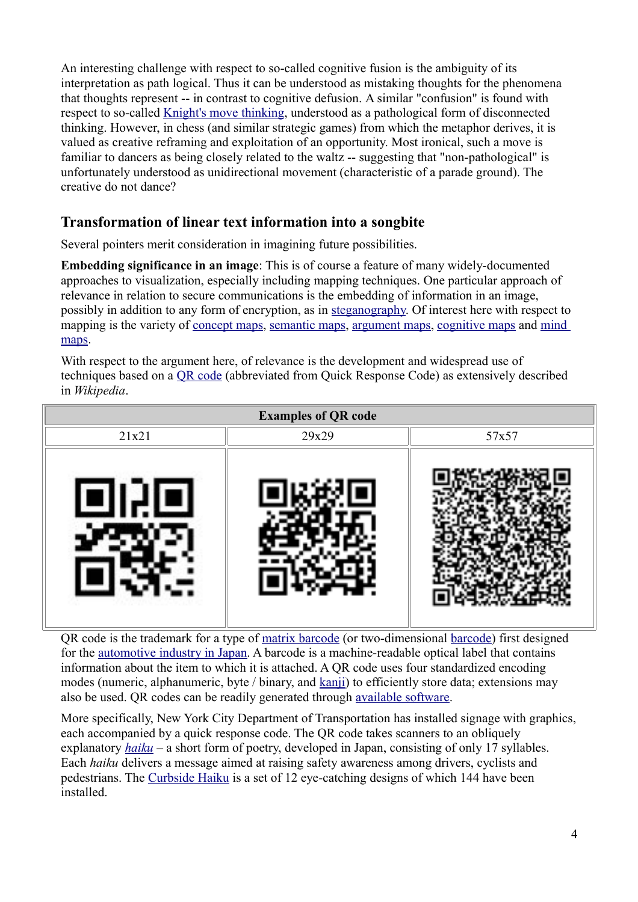An interesting challenge with respect to so-called cognitive fusion is the ambiguity of its interpretation as path logical. Thus it can be understood as mistaking thoughts for the phenomena that thoughts represent -- in contrast to cognitive defusion. A similar "confusion" is found with respect to so-called Knight's move thinking, understood as a pathological form of disconnected thinking. However, in chess (and similar strategic games) from which the metaphor derives, it is valued as creative reframing and exploitation of an opportunity. Most ironical, such a move is familiar to dancers as being closely related to the waltz -- suggesting that "non-pathological" is unfortunately understood as unidirectional movement (characteristic of a parade ground). The creative do not dance?

# **Transformation of linear text information into a songbite**

Several pointers merit consideration in imagining future possibilities.

**Embedding significance in an image**: This is of course a feature of many widely-documented approaches to visualization, especially including mapping techniques. One particular approach of relevance in relation to secure communications is the embedding of information in an image, possibly in addition to any form of encryption, as in steganography. Of interest here with respect to mapping is the variety of concept maps, semantic maps, argument maps, cognitive maps and mind maps.

With respect to the argument here, of relevance is the development and widespread use of techniques based on a QR code (abbreviated from Quick Response Code) as extensively described in *Wikipedia*.



QR code is the trademark for a type of matrix barcode (or two-dimensional barcode) first designed for the automotive industry in Japan. A barcode is a machine-readable optical label that contains information about the item to which it is attached. A QR code uses four standardized encoding modes (numeric, alphanumeric, byte / binary, and kanji) to efficiently store data; extensions may also be used. QR codes can be readily generated through available software.

More specifically, New York City Department of Transportation has installed signage with graphics, each accompanied by a quick response code. The QR code takes scanners to an obliquely explanatory *haiku* – a short form of poetry, developed in Japan, consisting of only 17 syllables. Each *haiku* delivers a message aimed at raising safety awareness among drivers, cyclists and pedestrians. The Curbside Haiku is a set of 12 eye-catching designs of which 144 have been installed.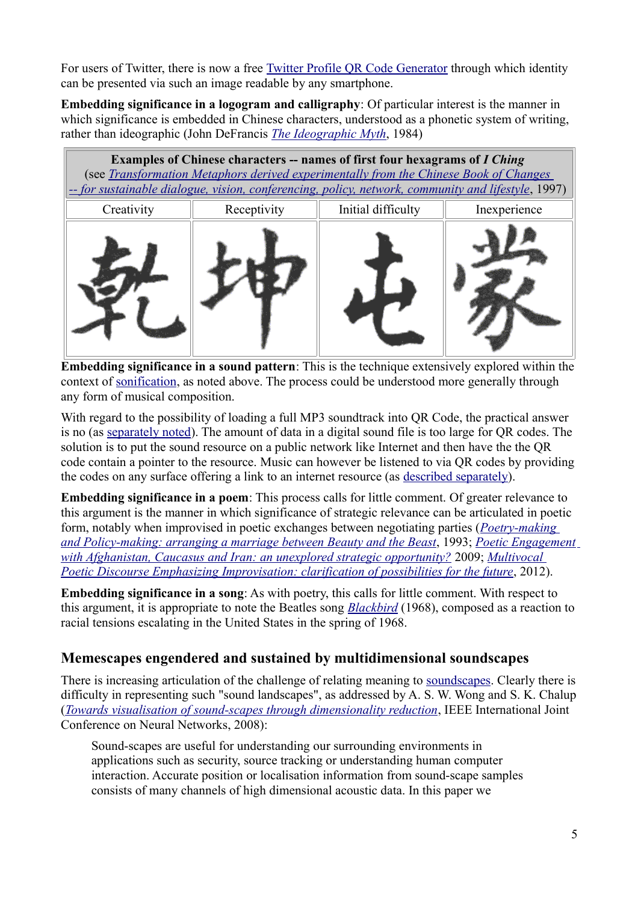For users of Twitter, there is now a free Twitter Profile QR Code Generator through which identity can be presented via such an image readable by any smartphone.

**Embedding significance in a logogram and calligraphy**: Of particular interest is the manner in which significance is embedded in Chinese characters, understood as a phonetic system of writing, rather than ideographic (John DeFrancis *The Ideographic Myth*, 1984)

| <b>Examples of Chinese characters -- names of first four hexagrams of I Ching</b><br>(see <i>Transformation Metaphors derived experimentally from the Chinese Book of Changes</i><br>-- for sustainable dialogue, vision, conferencing, policy, network, community and lifestyle, 1997) |             |                    |              |
|-----------------------------------------------------------------------------------------------------------------------------------------------------------------------------------------------------------------------------------------------------------------------------------------|-------------|--------------------|--------------|
| Creativity                                                                                                                                                                                                                                                                              | Receptivity | Initial difficulty | Inexperience |
|                                                                                                                                                                                                                                                                                         |             |                    |              |

**Embedding significance in a sound pattern**: This is the technique extensively explored within the context of sonification, as noted above. The process could be understood more generally through any form of musical composition.

With regard to the possibility of loading a full MP3 soundtrack into QR Code, the practical answer is no (as separately noted). The amount of data in a digital sound file is too large for QR codes. The solution is to put the sound resource on a public network like Internet and then have the the OR code contain a pointer to the resource. Music can however be listened to via QR codes by providing the codes on any surface offering a link to an internet resource (as described separately).

**Embedding significance in a poem**: This process calls for little comment. Of greater relevance to this argument is the manner in which significance of strategic relevance can be articulated in poetic form, notably when improvised in poetic exchanges between negotiating parties (*Poetry-making and Policy-making: arranging a marriage between Beauty and the Beast*, 1993; *Poetic Engagement with Afghanistan, Caucasus and Iran: an unexplored strategic opportunity?* 2009; *Multivocal Poetic Discourse Emphasizing Improvisation: clarification of possibilities for the future, 2012).* 

**Embedding significance in a song**: As with poetry, this calls for little comment. With respect to this argument, it is appropriate to note the Beatles song *Blackbird* (1968), composed as a reaction to racial tensions escalating in the United States in the spring of 1968.

# **Memescapes engendered and sustained by multidimensional soundscapes**

There is increasing articulation of the challenge of relating meaning to soundscapes. Clearly there is difficulty in representing such "sound landscapes", as addressed by A. S. W. Wong and S. K. Chalup (*Towards visualisation of sound-scapes through dimensionality reduction*, IEEE International Joint Conference on Neural Networks, 2008):

Sound-scapes are useful for understanding our surrounding environments in applications such as security, source tracking or understanding human computer interaction. Accurate position or localisation information from sound-scape samples consists of many channels of high dimensional acoustic data. In this paper we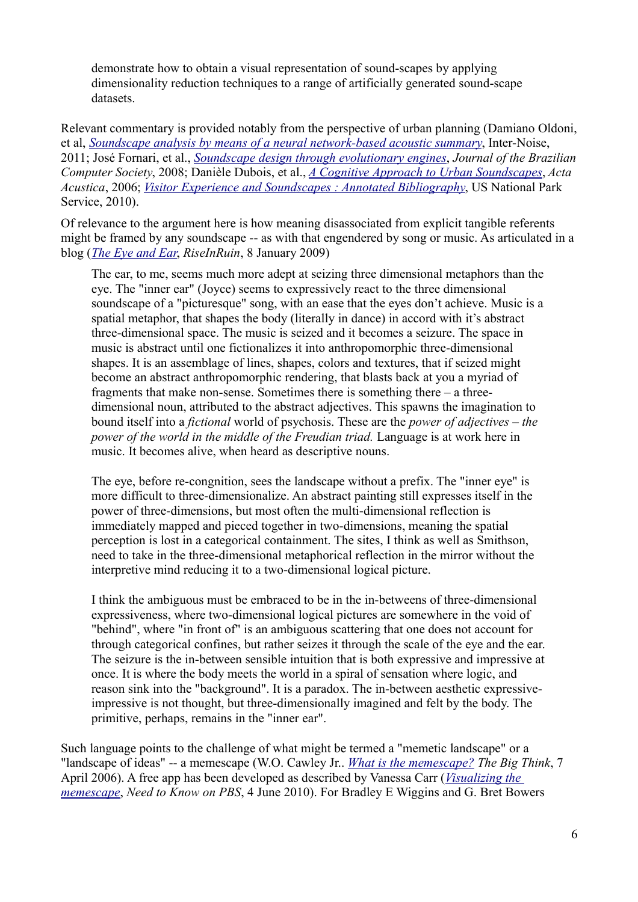demonstrate how to obtain a visual representation of sound-scapes by applying dimensionality reduction techniques to a range of artificially generated sound-scape datasets.

Relevant commentary is provided notably from the perspective of urban planning (Damiano Oldoni, et al, *Soundscape analysis by means of a neural network-based acoustic summary*, Inter-Noise, 2011; José Fornari, et al., *Soundscape design through evolutionary engines*, *Journal of the Brazilian Computer Society*, 2008; Danièle Dubois, et al., *A Cognitive Approach to Urban Soundscapes*, *Acta Acustica*, 2006; *Visitor Experience and Soundscapes : Annotated Bibliography*, US National Park Service, 2010).

Of relevance to the argument here is how meaning disassociated from explicit tangible referents might be framed by any soundscape -- as with that engendered by song or music. As articulated in a blog (*The Eye and Ear*, *RiseInRuin*, 8 January 2009)

The ear, to me, seems much more adept at seizing three dimensional metaphors than the eye. The "inner ear" (Joyce) seems to expressively react to the three dimensional soundscape of a "picturesque" song, with an ease that the eyes don't achieve. Music is a spatial metaphor, that shapes the body (literally in dance) in accord with it's abstract three-dimensional space. The music is seized and it becomes a seizure. The space in music is abstract until one fictionalizes it into anthropomorphic three-dimensional shapes. It is an assemblage of lines, shapes, colors and textures, that if seized might become an abstract anthropomorphic rendering, that blasts back at you a myriad of fragments that make non-sense. Sometimes there is something there – a threedimensional noun, attributed to the abstract adjectives. This spawns the imagination to bound itself into a *fictional* world of psychosis. These are the *power of adjectives – the power of the world in the middle of the Freudian triad.* Language is at work here in music. It becomes alive, when heard as descriptive nouns.

The eye, before re-congnition, sees the landscape without a prefix. The "inner eye" is more difficult to three-dimensionalize. An abstract painting still expresses itself in the power of three-dimensions, but most often the multi-dimensional reflection is immediately mapped and pieced together in two-dimensions, meaning the spatial perception is lost in a categorical containment. The sites, I think as well as Smithson, need to take in the three-dimensional metaphorical reflection in the mirror without the interpretive mind reducing it to a two-dimensional logical picture.

I think the ambiguous must be embraced to be in the in-betweens of three-dimensional expressiveness, where two-dimensional logical pictures are somewhere in the void of "behind", where "in front of" is an ambiguous scattering that one does not account for through categorical confines, but rather seizes it through the scale of the eye and the ear. The seizure is the in-between sensible intuition that is both expressive and impressive at once. It is where the body meets the world in a spiral of sensation where logic, and reason sink into the "background". It is a paradox. The in-between aesthetic expressiveimpressive is not thought, but three-dimensionally imagined and felt by the body. The primitive, perhaps, remains in the "inner ear".

Such language points to the challenge of what might be termed a "memetic landscape" or a "landscape of ideas" -- a memescape (W.O. Cawley Jr.. *What is the memescape? The Big Think*, 7 April 2006). A free app has been developed as described by Vanessa Carr (*Visualizing the memescape*, *Need to Know on PBS*, 4 June 2010). For Bradley E Wiggins and G. Bret Bowers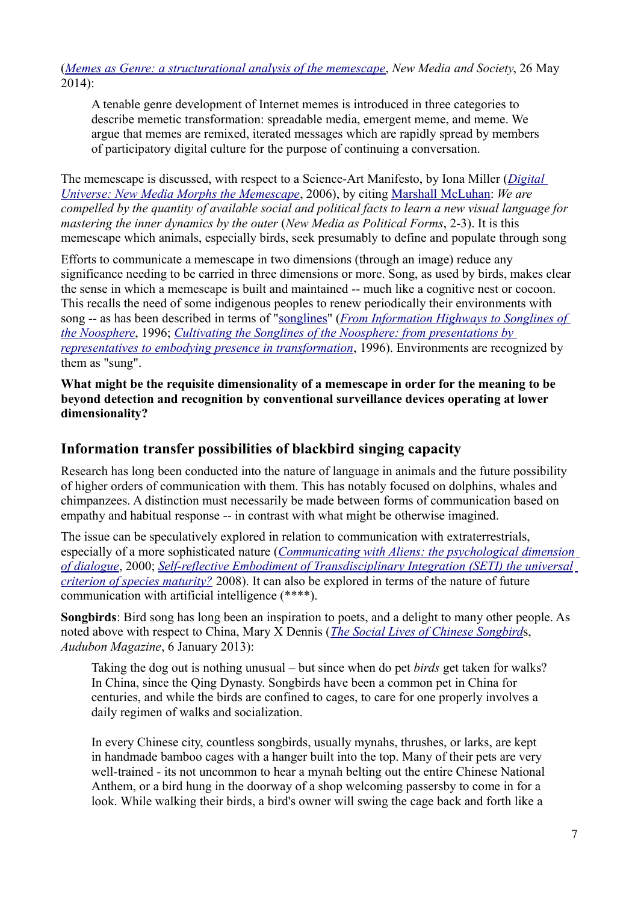(*Memes as Genre: a structurational analysis of the memescape*, *New Media and Society*, 26 May 2014):

A tenable genre development of Internet memes is introduced in three categories to describe memetic transformation: spreadable media, emergent meme, and meme. We argue that memes are remixed, iterated messages which are rapidly spread by members of participatory digital culture for the purpose of continuing a conversation.

The memescape is discussed, with respect to a Science-Art Manifesto, by Iona Miller (*Digital Universe: New Media Morphs the Memescape*, 2006), by citing Marshall McLuhan: *We are compelled by the quantity of available social and political facts to learn a new visual language for mastering the inner dynamics by the outer* (*New Media as Political Forms*, 2-3). It is this memescape which animals, especially birds, seek presumably to define and populate through song

Efforts to communicate a memescape in two dimensions (through an image) reduce any significance needing to be carried in three dimensions or more. Song, as used by birds, makes clear the sense in which a memescape is built and maintained -- much like a cognitive nest or cocoon. This recalls the need of some indigenous peoples to renew periodically their environments with song -- as has been described in terms of "songlines" (*From Information Highways to Songlines of the Noosphere*, 1996; *Cultivating the Songlines of the Noosphere: from presentations by representatives to embodying presence in transformation*, 1996). Environments are recognized by them as "sung".

**What might be the requisite dimensionality of a memescape in order for the meaning to be beyond detection and recognition by conventional surveillance devices operating at lower dimensionality?** 

### **Information transfer possibilities of blackbird singing capacity**

Research has long been conducted into the nature of language in animals and the future possibility of higher orders of communication with them. This has notably focused on dolphins, whales and chimpanzees. A distinction must necessarily be made between forms of communication based on empathy and habitual response -- in contrast with what might be otherwise imagined.

The issue can be speculatively explored in relation to communication with extraterrestrials, especially of a more sophisticated nature (*Communicating with Aliens: the psychological dimension of dialogue*, 2000; *Self-reflective Embodiment of Transdisciplinary Integration (SETI) the universal criterion of species maturity?* 2008). It can also be explored in terms of the nature of future communication with artificial intelligence (\*\*\*\*).

**Songbirds**: Bird song has long been an inspiration to poets, and a delight to many other people. As noted above with respect to China, Mary X Dennis (*The Social Lives of Chinese Songbird*s, *Audubon Magazine*, 6 January 2013):

Taking the dog out is nothing unusual – but since when do pet *birds* get taken for walks? In China, since the Qing Dynasty. Songbirds have been a common pet in China for centuries, and while the birds are confined to cages, to care for one properly involves a daily regimen of walks and socialization.

In every Chinese city, countless songbirds, usually mynahs, thrushes, or larks, are kept in handmade bamboo cages with a hanger built into the top. Many of their pets are very well-trained - its not uncommon to hear a mynah belting out the entire Chinese National Anthem, or a bird hung in the doorway of a shop welcoming passersby to come in for a look. While walking their birds, a bird's owner will swing the cage back and forth like a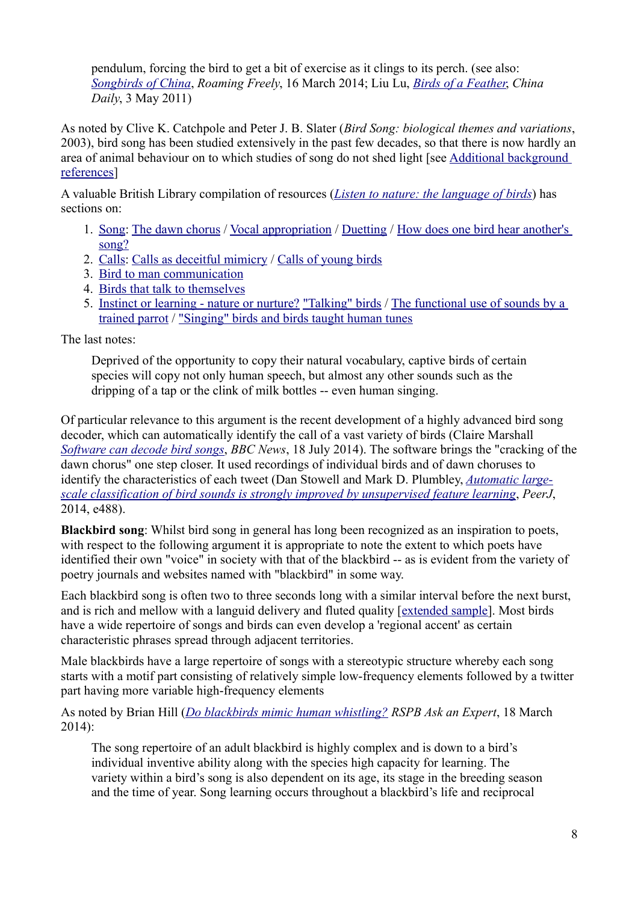pendulum, forcing the bird to get a bit of exercise as it clings to its perch. (see also: *Songbirds of China*, *Roaming Freely*, 16 March 2014; Liu Lu, *Birds of a Feather*, *China Daily*, 3 May 2011)

As noted by Clive K. Catchpole and Peter J. B. Slater (*Bird Song: biological themes and variations*, 2003), bird song has been studied extensively in the past few decades, so that there is now hardly an area of animal behaviour on to which studies of song do not shed light [see Additional background references]

A valuable British Library compilation of resources (*Listen to nature: the language of birds*) has sections on:

- 1. Song: The dawn chorus / Vocal appropriation / Duetting / How does one bird hear another's song?
- 2. Calls: Calls as deceitful mimicry / Calls of young birds
- 3. Bird to man communication
- 4. Birds that talk to themselves
- 5. Instinct or learning nature or nurture? "Talking" birds / The functional use of sounds by a trained parrot / "Singing" birds and birds taught human tunes

The last notes:

Deprived of the opportunity to copy their natural vocabulary, captive birds of certain species will copy not only human speech, but almost any other sounds such as the dripping of a tap or the clink of milk bottles -- even human singing.

Of particular relevance to this argument is the recent development of a highly advanced bird song decoder, which can automatically identify the call of a vast variety of birds (Claire Marshall *Software can decode bird songs*, *BBC News*, 18 July 2014). The software brings the "cracking of the dawn chorus" one step closer. It used recordings of individual birds and of dawn choruses to identify the characteristics of each tweet (Dan Stowell and Mark D. Plumbley, *Automatic largescale classification of bird sounds is strongly improved by unsupervised feature learning*, *PeerJ*, 2014, e488).

**Blackbird song**: Whilst bird song in general has long been recognized as an inspiration to poets, with respect to the following argument it is appropriate to note the extent to which poets have identified their own "voice" in society with that of the blackbird -- as is evident from the variety of poetry journals and websites named with "blackbird" in some way.

Each blackbird song is often two to three seconds long with a similar interval before the next burst, and is rich and mellow with a languid delivery and fluted quality [extended sample]. Most birds have a wide repertoire of songs and birds can even develop a 'regional accent' as certain characteristic phrases spread through adjacent territories.

Male blackbirds have a large repertoire of songs with a stereotypic structure whereby each song starts with a motif part consisting of relatively simple low-frequency elements followed by a twitter part having more variable high-frequency elements

As noted by Brian Hill (*Do blackbirds mimic human whistling? RSPB Ask an Expert*, 18 March 2014):

The song repertoire of an adult blackbird is highly complex and is down to a bird's individual inventive ability along with the species high capacity for learning. The variety within a bird's song is also dependent on its age, its stage in the breeding season and the time of year. Song learning occurs throughout a blackbird's life and reciprocal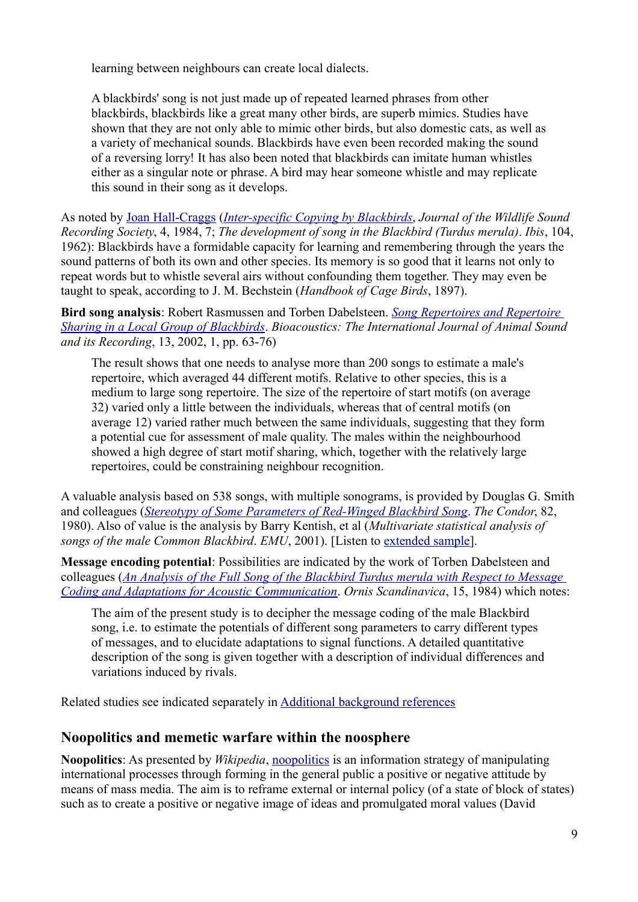learning between neighbours can create local dialects.

A blackbirds' song is not just made up of repeated learned phrases from other blackbirds, blackbirds like a great many other birds, are superb mimics. Studies have shown that they are not only able to mimic other birds, but also domestic cats, as well as a variety of mechanical sounds. Blackbirds have even been recorded making the sound of a reversing lorry! It has also been noted that blackbirds can imitate human whistles either as a singular note or phrase. A bird may hear someone whistle and may replicate this sound in their song as it develops.

As noted by Joan Hall-Craggs (*Inter-specific Copying by Blackbirds*, *Journal of the Wildlife Sound Recording Society*, 4, 1984, 7; *The development of song in the Blackbird (Turdus merula)*. *Ibis*, 104, 1962): Blackbirds have a formidable capacity for learning and remembering through the years the sound patterns of both its own and other species. Its memory is so good that it learns not only to repeat words but to whistle several airs without confounding them together. They may even be taught to speak, according to J. M. Bechstein (*Handbook of Cage Birds*, 1897).

**Bird song analysis**: Robert Rasmussen and Torben Dabelsteen. *Song Repertoires and Repertoire Sharing in a Local Group of Blackbirds*. *Bioacoustics: The International Journal of Animal Sound and its Recording*, 13, 2002, 1, pp. 63-76)

The result shows that one needs to analyse more than 200 songs to estimate a male's repertoire, which averaged 44 different motifs. Relative to other species, this is a medium to large song repertoire. The size of the repertoire of start motifs (on average 32) varied only a little between the individuals, whereas that of central motifs (on average 12) varied rather much between the same individuals, suggesting that they form a potential cue for assessment of male quality. The males within the neighbourhood showed a high degree of start motif sharing, which, together with the relatively large repertoires, could be constraining neighbour recognition.

A valuable analysis based on 538 songs, with multiple sonograms, is provided by Douglas G. Smith and colleagues (*Stereotypy of Some Parameters of Red-Winged Blackbird Song*. *The Condor*, 82, 1980). Also of value is the analysis by Barry Kentish, et al (*Multivariate statistical analysis of songs of the male Common Blackbird*. *EMU*, 2001). [Listen to extended sample].

**Message encoding potential**: Possibilities are indicated by the work of Torben Dabelsteen and colleagues (*An Analysis of the Full Song of the Blackbird Turdus merula with Respect to Message Coding and Adaptations for Acoustic Communication*. *Ornis Scandinavica*, 15, 1984) which notes:

The aim of the present study is to decipher the message coding of the male Blackbird song, i.e. to estimate the potentials of different song parameters to carry different types of messages, and to elucidate adaptations to signal functions. A detailed quantitative description of the song is given together with a description of individual differences and variations induced by rivals.

Related studies see indicated separately in Additional background references

### **Noopolitics and memetic warfare within the noosphere**

**Noopolitics**: As presented by *Wikipedia*, noopolitics is an information strategy of manipulating international processes through forming in the general public a positive or negative attitude by means of mass media. The aim is to reframe external or internal policy (of a state of block of states) such as to create a positive or negative image of ideas and promulgated moral values (David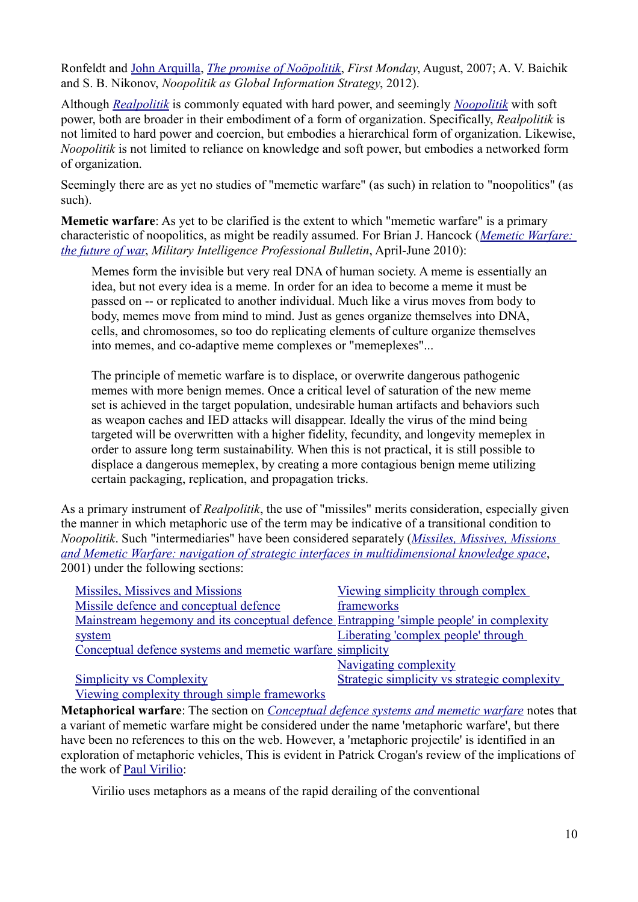Ronfeldt and John Arquilla, *The promise of Noöpolitik*, *First Monday*, August, 2007; A. V. Baichik and S. B. Nikonov, *Noopolitik as Global Information Strategy*, 2012).

Although *Realpolitik* is commonly equated with hard power, and seemingly *Noopolitik* with soft power, both are broader in their embodiment of a form of organization. Specifically, *Realpolitik* is not limited to hard power and coercion, but embodies a hierarchical form of organization. Likewise, *Noopolitik* is not limited to reliance on knowledge and soft power, but embodies a networked form of organization.

Seemingly there are as yet no studies of "memetic warfare" (as such) in relation to "noopolitics" (as such).

**Memetic warfare**: As yet to be clarified is the extent to which "memetic warfare" is a primary characteristic of noopolitics, as might be readily assumed. For Brian J. Hancock (*Memetic Warfare: the future of war*, *Military Intelligence Professional Bulletin*, April-June 2010):

Memes form the invisible but very real DNA of human society. A meme is essentially an idea, but not every idea is a meme. In order for an idea to become a meme it must be passed on -- or replicated to another individual. Much like a virus moves from body to body, memes move from mind to mind. Just as genes organize themselves into DNA, cells, and chromosomes, so too do replicating elements of culture organize themselves into memes, and co-adaptive meme complexes or "memeplexes"...

The principle of memetic warfare is to displace, or overwrite dangerous pathogenic memes with more benign memes. Once a critical level of saturation of the new meme set is achieved in the target population, undesirable human artifacts and behaviors such as weapon caches and IED attacks will disappear. Ideally the virus of the mind being targeted will be overwritten with a higher fidelity, fecundity, and longevity memeplex in order to assure long term sustainability. When this is not practical, it is still possible to displace a dangerous memeplex, by creating a more contagious benign meme utilizing certain packaging, replication, and propagation tricks.

As a primary instrument of *Realpolitik*, the use of "missiles" merits consideration, especially given the manner in which metaphoric use of the term may be indicative of a transitional condition to *Noopolitik*. Such "intermediaries" have been considered separately (*Missiles, Missives, Missions and Memetic Warfare: navigation of strategic interfaces in multidimensional knowledge space*, 2001) under the following sections:

| Missiles, Missives and Missions                                                                                 | Viewing simplicity through complex           |
|-----------------------------------------------------------------------------------------------------------------|----------------------------------------------|
| Missile defence and conceptual defence                                                                          | frameworks                                   |
| Mainstream hegemony and its conceptual defence Entrapping 'simple people' in complexity                         |                                              |
| system                                                                                                          | Liberating 'complex people' through          |
| Conceptual defence systems and memetic warfare simplicity                                                       |                                              |
|                                                                                                                 | Navigating complexity                        |
| <b>Simplicity vs Complexity</b>                                                                                 | Strategic simplicity vs strategic complexity |
| the contract of the contract of the contract of the contract of the contract of the contract of the contract of |                                              |

Viewing complexity through simple frameworks

**Metaphorical warfare**: The section on *Conceptual defence systems and memetic warfare* notes that a variant of memetic warfare might be considered under the name 'metaphoric warfare', but there have been no references to this on the web. However, a 'metaphoric projectile' is identified in an exploration of metaphoric vehicles, This is evident in Patrick Crogan's review of the implications of the work of Paul Virilio:

Virilio uses metaphors as a means of the rapid derailing of the conventional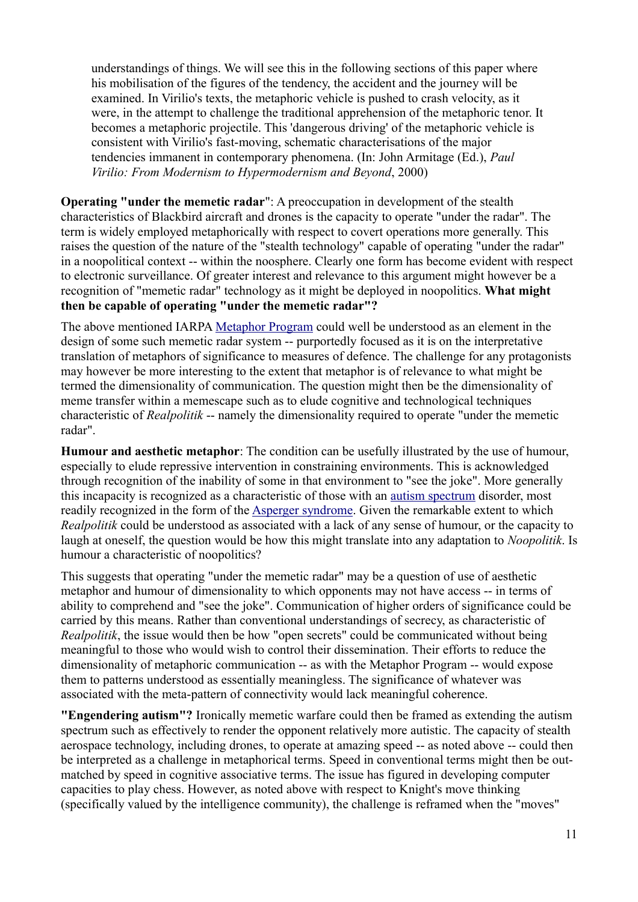understandings of things. We will see this in the following sections of this paper where his mobilisation of the figures of the tendency, the accident and the journey will be examined. In Virilio's texts, the metaphoric vehicle is pushed to crash velocity, as it were, in the attempt to challenge the traditional apprehension of the metaphoric tenor. It becomes a metaphoric projectile. This 'dangerous driving' of the metaphoric vehicle is consistent with Virilio's fast-moving, schematic characterisations of the major tendencies immanent in contemporary phenomena. (In: John Armitage (Ed.), *Paul Virilio: From Modernism to Hypermodernism and Beyond*, 2000)

**Operating "under the memetic radar"**: A preoccupation in development of the stealth characteristics of Blackbird aircraft and drones is the capacity to operate "under the radar". The term is widely employed metaphorically with respect to covert operations more generally. This raises the question of the nature of the "stealth technology" capable of operating "under the radar" in a noopolitical context -- within the noosphere. Clearly one form has become evident with respect to electronic surveillance. Of greater interest and relevance to this argument might however be a recognition of "memetic radar" technology as it might be deployed in noopolitics. **What might then be capable of operating "under the memetic radar"?**

The above mentioned IARPA Metaphor Program could well be understood as an element in the design of some such memetic radar system -- purportedly focused as it is on the interpretative translation of metaphors of significance to measures of defence. The challenge for any protagonists may however be more interesting to the extent that metaphor is of relevance to what might be termed the dimensionality of communication. The question might then be the dimensionality of meme transfer within a memescape such as to elude cognitive and technological techniques characteristic of *Realpolitik* -- namely the dimensionality required to operate "under the memetic radar".

**Humour and aesthetic metaphor**: The condition can be usefully illustrated by the use of humour, especially to elude repressive intervention in constraining environments. This is acknowledged through recognition of the inability of some in that environment to "see the joke". More generally this incapacity is recognized as a characteristic of those with an autism spectrum disorder, most readily recognized in the form of the Asperger syndrome. Given the remarkable extent to which *Realpolitik* could be understood as associated with a lack of any sense of humour, or the capacity to laugh at oneself, the question would be how this might translate into any adaptation to *Noopolitik*. Is humour a characteristic of noopolitics?

This suggests that operating "under the memetic radar" may be a question of use of aesthetic metaphor and humour of dimensionality to which opponents may not have access -- in terms of ability to comprehend and "see the joke". Communication of higher orders of significance could be carried by this means. Rather than conventional understandings of secrecy, as characteristic of *Realpolitik*, the issue would then be how "open secrets" could be communicated without being meaningful to those who would wish to control their dissemination. Their efforts to reduce the dimensionality of metaphoric communication -- as with the Metaphor Program -- would expose them to patterns understood as essentially meaningless. The significance of whatever was associated with the meta-pattern of connectivity would lack meaningful coherence.

**"Engendering autism"?** Ironically memetic warfare could then be framed as extending the autism spectrum such as effectively to render the opponent relatively more autistic. The capacity of stealth aerospace technology, including drones, to operate at amazing speed -- as noted above -- could then be interpreted as a challenge in metaphorical terms. Speed in conventional terms might then be outmatched by speed in cognitive associative terms. The issue has figured in developing computer capacities to play chess. However, as noted above with respect to Knight's move thinking (specifically valued by the intelligence community), the challenge is reframed when the "moves"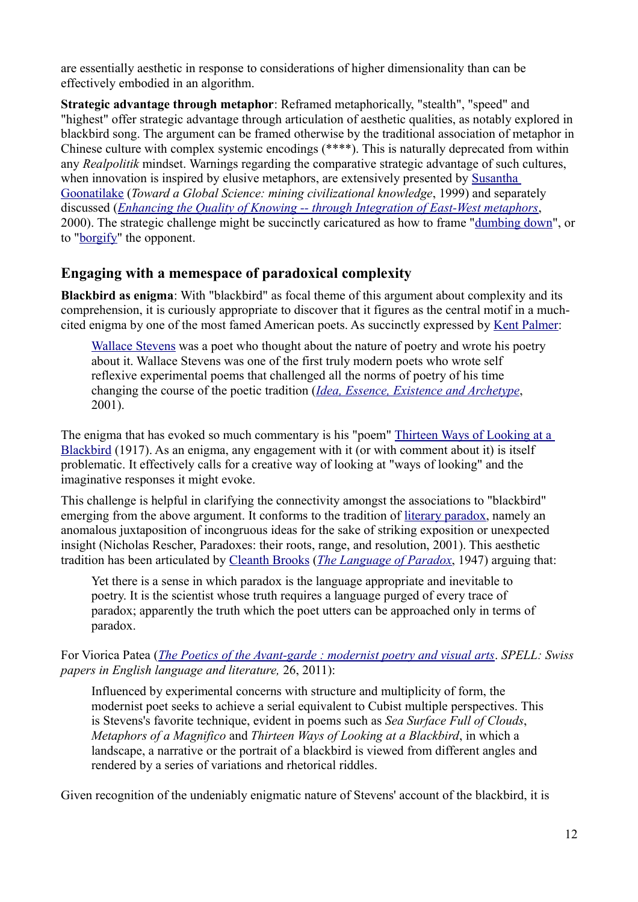are essentially aesthetic in response to considerations of higher dimensionality than can be effectively embodied in an algorithm.

**Strategic advantage through metaphor**: Reframed metaphorically, "stealth", "speed" and "highest" offer strategic advantage through articulation of aesthetic qualities, as notably explored in blackbird song. The argument can be framed otherwise by the traditional association of metaphor in Chinese culture with complex systemic encodings (\*\*\*\*). This is naturally deprecated from within any *Realpolitik* mindset. Warnings regarding the comparative strategic advantage of such cultures, when innovation is inspired by elusive metaphors, are extensively presented by Susantha Goonatilake (*Toward a Global Science: mining civilizational knowledge*, 1999) and separately discussed (*Enhancing the Quality of Knowing -- through Integration of East-West metaphors*, 2000). The strategic challenge might be succinctly caricatured as how to frame "dumbing down", or to "borgify" the opponent.

### **Engaging with a memespace of paradoxical complexity**

**Blackbird as enigma**: With "blackbird" as focal theme of this argument about complexity and its comprehension, it is curiously appropriate to discover that it figures as the central motif in a muchcited enigma by one of the most famed American poets. As succinctly expressed by Kent Palmer:

Wallace Stevens was a poet who thought about the nature of poetry and wrote his poetry about it. Wallace Stevens was one of the first truly modern poets who wrote self reflexive experimental poems that challenged all the norms of poetry of his time changing the course of the poetic tradition (*Idea, Essence, Existence and Archetype*, 2001).

The enigma that has evoked so much commentary is his "poem" Thirteen Ways of Looking at a Blackbird (1917). As an enigma, any engagement with it (or with comment about it) is itself problematic. It effectively calls for a creative way of looking at "ways of looking" and the imaginative responses it might evoke.

This challenge is helpful in clarifying the connectivity amongst the associations to "blackbird" emerging from the above argument. It conforms to the tradition of literary paradox, namely an anomalous juxtaposition of incongruous ideas for the sake of striking exposition or unexpected insight (Nicholas Rescher, Paradoxes: their roots, range, and resolution, 2001). This aesthetic tradition has been articulated by Cleanth Brooks (*The Language of Paradox*, 1947) arguing that:

Yet there is a sense in which paradox is the language appropriate and inevitable to poetry. It is the scientist whose truth requires a language purged of every trace of paradox; apparently the truth which the poet utters can be approached only in terms of paradox.

For Viorica Patea (*The Poetics of the Avant-garde : modernist poetry and visual arts*. *SPELL: Swiss papers in English language and literature,* 26, 2011):

Influenced by experimental concerns with structure and multiplicity of form, the modernist poet seeks to achieve a serial equivalent to Cubist multiple perspectives. This is Stevens's favorite technique, evident in poems such as *Sea Surface Full of Clouds*, *Metaphors of a Magnifico* and *Thirteen Ways of Looking at a Blackbird*, in which a landscape, a narrative or the portrait of a blackbird is viewed from different angles and rendered by a series of variations and rhetorical riddles.

Given recognition of the undeniably enigmatic nature of Stevens' account of the blackbird, it is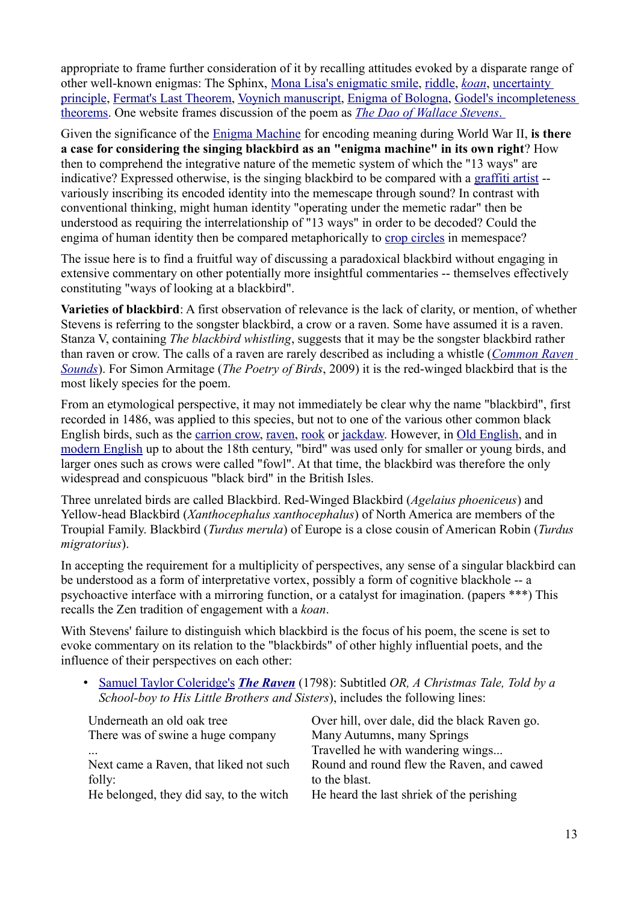appropriate to frame further consideration of it by recalling attitudes evoked by a disparate range of other well-known enigmas: The Sphinx, Mona Lisa's enigmatic smile, riddle, *koan*, uncertainty principle, Fermat's Last Theorem, Voynich manuscript, Enigma of Bologna, Godel's incompleteness theorems. One website frames discussion of the poem as *The Dao of Wallace Stevens* .

Given the significance of the Enigma Machine for encoding meaning during World War II, **is there a case for considering the singing blackbird as an "enigma machine" in its own right**? How then to comprehend the integrative nature of the memetic system of which the "13 ways" are indicative? Expressed otherwise, is the singing blackbird to be compared with a graffiti artist - variously inscribing its encoded identity into the memescape through sound? In contrast with conventional thinking, might human identity "operating under the memetic radar" then be understood as requiring the interrelationship of "13 ways" in order to be decoded? Could the engima of human identity then be compared metaphorically to crop circles in memespace?

The issue here is to find a fruitful way of discussing a paradoxical blackbird without engaging in extensive commentary on other potentially more insightful commentaries -- themselves effectively constituting "ways of looking at a blackbird".

**Varieties of blackbird**: A first observation of relevance is the lack of clarity, or mention, of whether Stevens is referring to the songster blackbird, a crow or a raven. Some have assumed it is a raven. Stanza V, containing *The blackbird whistling*, suggests that it may be the songster blackbird rather than raven or crow. The calls of a raven are rarely described as including a whistle (*Common Raven Sounds*). For Simon Armitage (*The Poetry of Birds*, 2009) it is the red-winged blackbird that is the most likely species for the poem.

From an etymological perspective, it may not immediately be clear why the name "blackbird", first recorded in 1486, was applied to this species, but not to one of the various other common black English birds, such as the carrion crow, raven, rook or jackdaw. However, in Old English, and in modern English up to about the 18th century, "bird" was used only for smaller or young birds, and larger ones such as crows were called "fowl". At that time, the blackbird was therefore the only widespread and conspicuous "black bird" in the British Isles.

Three unrelated birds are called Blackbird. Red-Winged Blackbird (*Agelaius phoeniceus*) and Yellow-head Blackbird (*Xanthocephalus xanthocephalus*) of North America are members of the Troupial Family. Blackbird (*Turdus merula*) of Europe is a close cousin of American Robin (*Turdus migratorius*).

In accepting the requirement for a multiplicity of perspectives, any sense of a singular blackbird can be understood as a form of interpretative vortex, possibly a form of cognitive blackhole -- a psychoactive interface with a mirroring function, or a catalyst for imagination. (papers \*\*\*) This recalls the Zen tradition of engagement with a *koan*.

With Stevens' failure to distinguish which blackbird is the focus of his poem, the scene is set to evoke commentary on its relation to the "blackbirds" of other highly influential poets, and the influence of their perspectives on each other:

• Samuel Taylor Coleridge's *The Raven* (1798): Subtitled *OR, A Christmas Tale, Told by a School-boy to His Little Brothers and Sisters*), includes the following lines:

| Underneath an old oak tree              | Over hill, over dale, did the black Raven go. |
|-----------------------------------------|-----------------------------------------------|
| There was of swine a huge company       | Many Autumns, many Springs                    |
|                                         | Travelled he with wandering wings             |
| Next came a Raven, that liked not such  | Round and round flew the Raven, and cawed     |
| folly:                                  | to the blast.                                 |
| He belonged, they did say, to the witch | He heard the last shriek of the perishing     |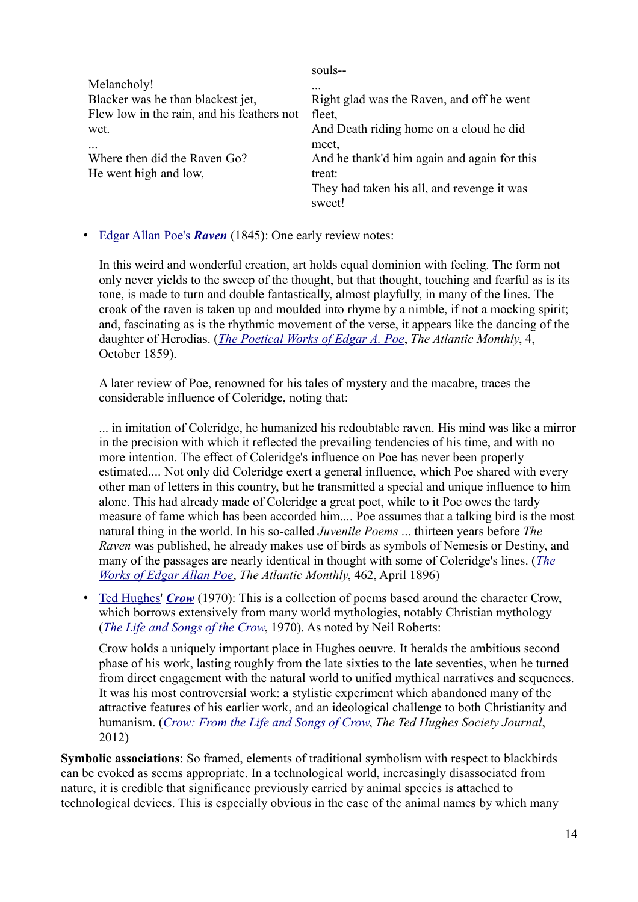|                                            | souls--                                     |
|--------------------------------------------|---------------------------------------------|
| Melancholy!                                | .                                           |
| Blacker was he than blackest jet,          | Right glad was the Raven, and off he went   |
| Flew low in the rain, and his feathers not | fleet,                                      |
| wet.                                       | And Death riding home on a cloud he did     |
|                                            | meet,                                       |
| Where then did the Raven Go?               | And he thank'd him again and again for this |
| He went high and low,                      | treat:                                      |
|                                            | They had taken his all, and revenge it was  |
|                                            | sweet!                                      |

• Edgar Allan Poe's *Raven* (1845): One early review notes:

In this weird and wonderful creation, art holds equal dominion with feeling. The form not only never yields to the sweep of the thought, but that thought, touching and fearful as is its tone, is made to turn and double fantastically, almost playfully, in many of the lines. The croak of the raven is taken up and moulded into rhyme by a nimble, if not a mocking spirit; and, fascinating as is the rhythmic movement of the verse, it appears like the dancing of the daughter of Herodias. (*The Poetical Works of Edgar A. Poe*, *The Atlantic Monthly*, 4, October 1859).

A later review of Poe, renowned for his tales of mystery and the macabre, traces the considerable influence of Coleridge, noting that:

... in imitation of Coleridge, he humanized his redoubtable raven. His mind was like a mirror in the precision with which it reflected the prevailing tendencies of his time, and with no more intention. The effect of Coleridge's influence on Poe has never been properly estimated.... Not only did Coleridge exert a general influence, which Poe shared with every other man of letters in this country, but he transmitted a special and unique influence to him alone. This had already made of Coleridge a great poet, while to it Poe owes the tardy measure of fame which has been accorded him.... Poe assumes that a talking bird is the most natural thing in the world. In his so-called *Juvenile Poems* ... thirteen years before *The Raven* was published, he already makes use of birds as symbols of Nemesis or Destiny, and many of the passages are nearly identical in thought with some of Coleridge's lines. (*The Works of Edgar Allan Poe*, *The Atlantic Monthly*, 462, April 1896)

• Ted Hughes' *Crow* (1970): This is a collection of poems based around the character Crow, which borrows extensively from many world mythologies, notably Christian mythology (*The Life and Songs of the Crow*, 1970). As noted by Neil Roberts:

Crow holds a uniquely important place in Hughes oeuvre. It heralds the ambitious second phase of his work, lasting roughly from the late sixties to the late seventies, when he turned from direct engagement with the natural world to unified mythical narratives and sequences. It was his most controversial work: a stylistic experiment which abandoned many of the attractive features of his earlier work, and an ideological challenge to both Christianity and humanism. (*Crow: From the Life and Songs of Crow*, *The Ted Hughes Society Journal*, 2012)

**Symbolic associations**: So framed, elements of traditional symbolism with respect to blackbirds can be evoked as seems appropriate. In a technological world, increasingly disassociated from nature, it is credible that significance previously carried by animal species is attached to technological devices. This is especially obvious in the case of the animal names by which many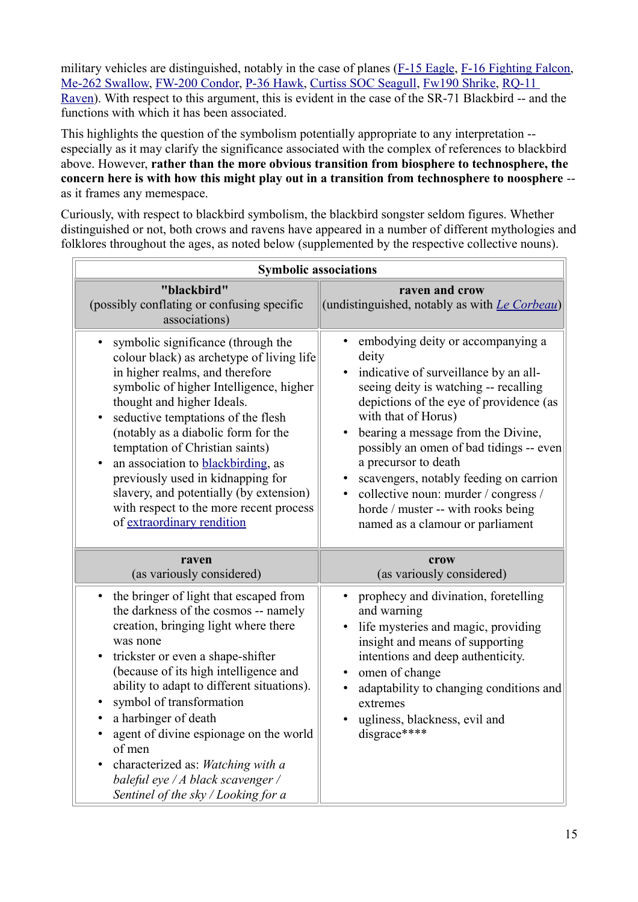military vehicles are distinguished, notably in the case of planes (F-15 Eagle, F-16 Fighting Falcon, Me-262 Swallow, FW-200 Condor, P-36 Hawk, Curtiss SOC Seagull, Fw190 Shrike, RQ-11 Raven). With respect to this argument, this is evident in the case of the SR-71 Blackbird -- and the functions with which it has been associated.

This highlights the question of the symbolism potentially appropriate to any interpretation - especially as it may clarify the significance associated with the complex of references to blackbird above. However, **rather than the more obvious transition from biosphere to technosphere, the concern here is with how this might play out in a transition from technosphere to noosphere** - as it frames any memespace.

Curiously, with respect to blackbird symbolism, the blackbird songster seldom figures. Whether distinguished or not, both crows and ravens have appeared in a number of different mythologies and folklores throughout the ages, as noted below (supplemented by the respective collective nouns).

| <b>Symbolic associations</b>                                                                                                                                                                                                                                                                                                                                                                                                                                                                                                                |                                                                                                                                                                                                                                                                                                                                                                                                                                                                                  |  |  |
|---------------------------------------------------------------------------------------------------------------------------------------------------------------------------------------------------------------------------------------------------------------------------------------------------------------------------------------------------------------------------------------------------------------------------------------------------------------------------------------------------------------------------------------------|----------------------------------------------------------------------------------------------------------------------------------------------------------------------------------------------------------------------------------------------------------------------------------------------------------------------------------------------------------------------------------------------------------------------------------------------------------------------------------|--|--|
| "blackbird"<br>(possibly conflating or confusing specific<br>associations)                                                                                                                                                                                                                                                                                                                                                                                                                                                                  | raven and crow<br>(undistinguished, notably as with <i>Le Corbeau</i> )                                                                                                                                                                                                                                                                                                                                                                                                          |  |  |
| symbolic significance (through the<br>colour black) as archetype of living life<br>in higher realms, and therefore<br>symbolic of higher Intelligence, higher<br>thought and higher Ideals.<br>seductive temptations of the flesh<br>$\bullet$<br>(notably as a diabolic form for the<br>temptation of Christian saints)<br>an association to blackbirding, as<br>previously used in kidnapping for<br>slavery, and potentially (by extension)<br>with respect to the more recent process<br>of extraordinary rendition                     | embodying deity or accompanying a<br>deity<br>indicative of surveillance by an all-<br>seeing deity is watching -- recalling<br>depictions of the eye of providence (as<br>with that of Horus)<br>bearing a message from the Divine,<br>possibly an omen of bad tidings -- even<br>a precursor to death<br>scavengers, notably feeding on carrion<br>collective noun: murder / congress /<br>$\bullet$<br>horde / muster -- with rooks being<br>named as a clamour or parliament |  |  |
| raven<br>(as variously considered)                                                                                                                                                                                                                                                                                                                                                                                                                                                                                                          | crow<br>(as variously considered)                                                                                                                                                                                                                                                                                                                                                                                                                                                |  |  |
| the bringer of light that escaped from<br>$\bullet$<br>the darkness of the cosmos -- namely<br>creation, bringing light where there<br>was none<br>trickster or even a shape-shifter<br>$\bullet$<br>(because of its high intelligence and<br>ability to adapt to different situations).<br>symbol of transformation<br>$\bullet$<br>a harbinger of death<br>$\bullet$<br>agent of divine espionage on the world<br>of men<br>characterized as: Watching with a<br>baleful eye / A black scavenger /<br>Sentinel of the sky / Looking for a | prophecy and divination, foretelling<br>and warning<br>life mysteries and magic, providing<br>insight and means of supporting<br>intentions and deep authenticity.<br>omen of change<br>adaptability to changing conditions and<br>extremes<br>ugliness, blackness, evil and<br>disgrace****                                                                                                                                                                                     |  |  |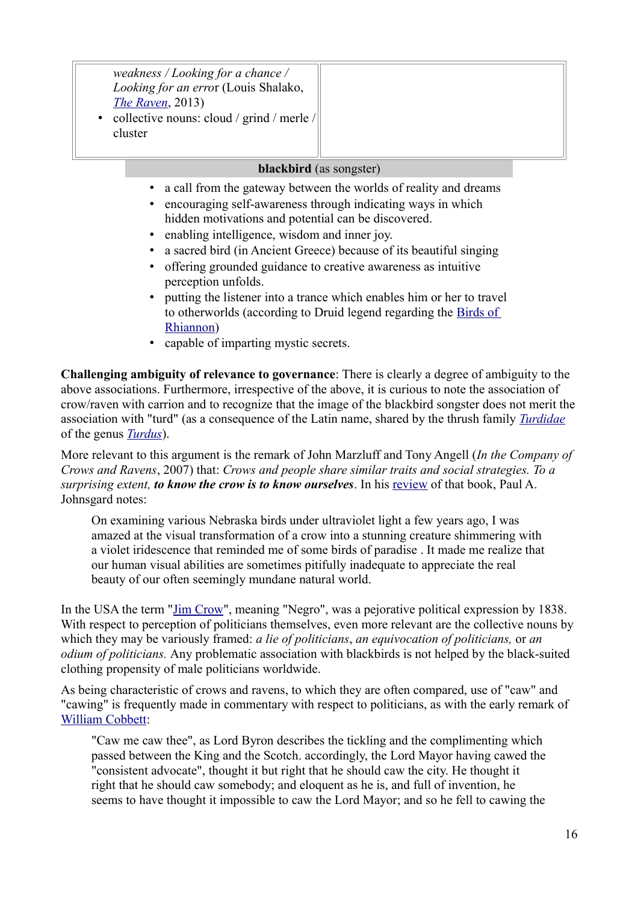| weakness / Looking for a chance /<br>Looking for an error (Louis Shalako,<br>The Raven, 2013)<br>collective nouns: cloud / grind / merle /<br>cluster |  |
|-------------------------------------------------------------------------------------------------------------------------------------------------------|--|
|-------------------------------------------------------------------------------------------------------------------------------------------------------|--|

#### **blackbird** (as songster)

- a call from the gateway between the worlds of reality and dreams
- encouraging self-awareness through indicating ways in which hidden motivations and potential can be discovered.
- enabling intelligence, wisdom and inner joy.
- a sacred bird (in Ancient Greece) because of its beautiful singing
- offering grounded guidance to creative awareness as intuitive perception unfolds.
- putting the listener into a trance which enables him or her to travel to otherworlds (according to Druid legend regarding the Birds of Rhiannon)
- capable of imparting mystic secrets.

**Challenging ambiguity of relevance to governance**: There is clearly a degree of ambiguity to the above associations. Furthermore, irrespective of the above, it is curious to note the association of crow/raven with carrion and to recognize that the image of the blackbird songster does not merit the association with "turd" (as a consequence of the Latin name, shared by the thrush family *Turdidae* of the genus *Turdus*).

More relevant to this argument is the remark of John Marzluff and Tony Angell (*In the Company of Crows and Ravens*, 2007) that: *Crows and people share similar traits and social strategies. To a surprising extent, to know the crow is to know ourselves*. In his review of that book, Paul A. Johnsgard notes:

On examining various Nebraska birds under ultraviolet light a few years ago, I was amazed at the visual transformation of a crow into a stunning creature shimmering with a violet iridescence that reminded me of some birds of paradise . It made me realize that our human visual abilities are sometimes pitifully inadequate to appreciate the real beauty of our often seemingly mundane natural world.

In the USA the term "Jim Crow", meaning "Negro", was a pejorative political expression by 1838. With respect to perception of politicians themselves, even more relevant are the collective nouns by which they may be variously framed: *a lie of politicians*, *an equivocation of politicians,* or *an odium of politicians.* Any problematic association with blackbirds is not helped by the black-suited clothing propensity of male politicians worldwide.

As being characteristic of crows and ravens, to which they are often compared, use of "caw" and "cawing" is frequently made in commentary with respect to politicians, as with the early remark of William Cobbett:

"Caw me caw thee", as Lord Byron describes the tickling and the complimenting which passed between the King and the Scotch. accordingly, the Lord Mayor having cawed the "consistent advocate", thought it but right that he should caw the city. He thought it right that he should caw somebody; and eloquent as he is, and full of invention, he seems to have thought it impossible to caw the Lord Mayor; and so he fell to cawing the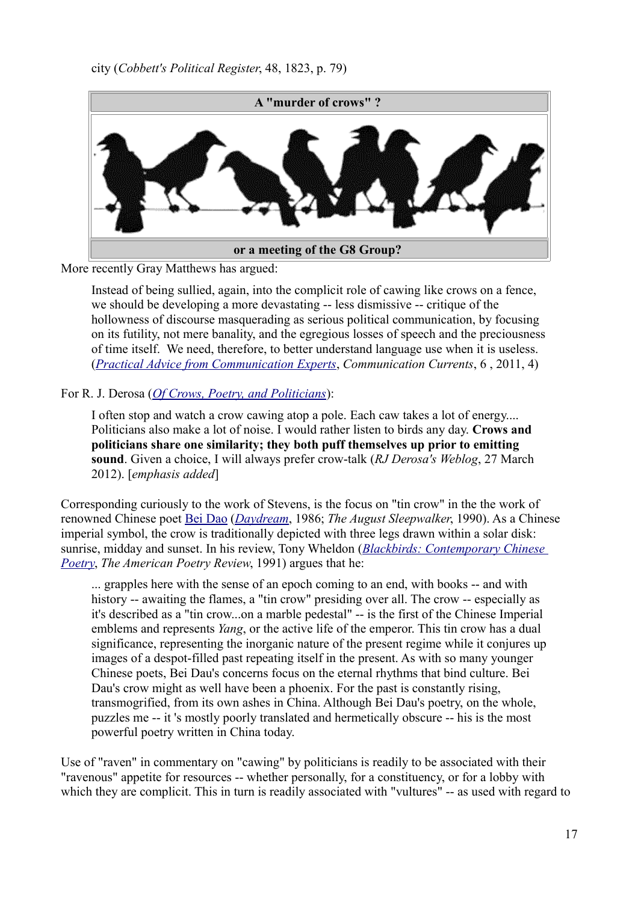

More recently Gray Matthews has argued:

Instead of being sullied, again, into the complicit role of cawing like crows on a fence, we should be developing a more devastating -- less dismissive -- critique of the hollowness of discourse masquerading as serious political communication, by focusing on its futility, not mere banality, and the egregious losses of speech and the preciousness of time itself. We need, therefore, to better understand language use when it is useless. (*Practical Advice from Communication Experts*, *Communication Currents*, 6 , 2011, 4)

#### For R. J. Derosa (*Of Crows, Poetry, and Politicians*):

I often stop and watch a crow cawing atop a pole. Each caw takes a lot of energy.... Politicians also make a lot of noise. I would rather listen to birds any day. **Crows and politicians share one similarity; they both puff themselves up prior to emitting sound**. Given a choice, I will always prefer crow-talk (*RJ Derosa's Weblog*, 27 March 2012). [*emphasis added*]

Corresponding curiously to the work of Stevens, is the focus on "tin crow" in the the work of renowned Chinese poet Bei Dao (*Daydream*, 1986; *The August Sleepwalker*, 1990). As a Chinese imperial symbol, the crow is traditionally depicted with three legs drawn within a solar disk: sunrise, midday and sunset. In his review, Tony Wheldon (*Blackbirds: Contemporary Chinese Poetry*, *The American Poetry Review*, 1991) argues that he:

... grapples here with the sense of an epoch coming to an end, with books -- and with history -- awaiting the flames, a "tin crow" presiding over all. The crow -- especially as it's described as a "tin crow...on a marble pedestal" -- is the first of the Chinese Imperial emblems and represents *Yang*, or the active life of the emperor. This tin crow has a dual significance, representing the inorganic nature of the present regime while it conjures up images of a despot-filled past repeating itself in the present. As with so many younger Chinese poets, Bei Dau's concerns focus on the eternal rhythms that bind culture. Bei Dau's crow might as well have been a phoenix. For the past is constantly rising, transmogrified, from its own ashes in China. Although Bei Dau's poetry, on the whole, puzzles me -- it 's mostly poorly translated and hermetically obscure -- his is the most powerful poetry written in China today.

Use of "raven" in commentary on "cawing" by politicians is readily to be associated with their "ravenous" appetite for resources -- whether personally, for a constituency, or for a lobby with which they are complicit. This in turn is readily associated with "vultures" -- as used with regard to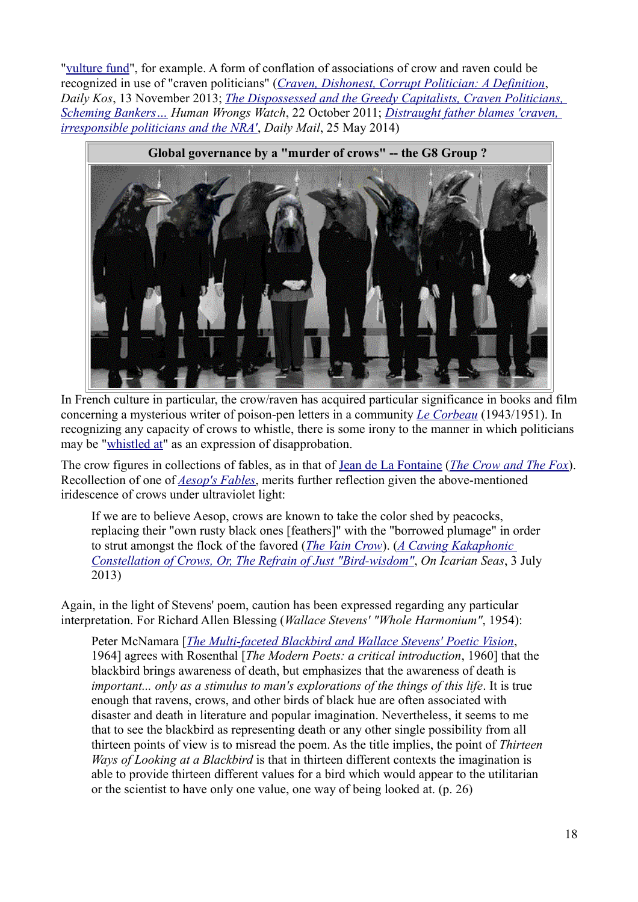"vulture fund", for example. A form of conflation of associations of crow and raven could be recognized in use of "craven politicians" (*Craven, Dishonest, Corrupt Politician: A Definition*, *Daily Kos*, 13 November 2013; *The Dispossessed and the Greedy Capitalists, Craven Politicians, Scheming Bankers… Human Wrongs Watch*, 22 October 2011; *Distraught father blames 'craven, irresponsible politicians and the NRA'*, *Daily Mail*, 25 May 2014)



In French culture in particular, the crow/raven has acquired particular significance in books and film concerning a mysterious writer of poison-pen letters in a community *Le Corbeau* (1943/1951). In recognizing any capacity of crows to whistle, there is some irony to the manner in which politicians may be "whistled at" as an expression of disapprobation.

The crow figures in collections of fables, as in that of Jean de La Fontaine (*The Crow and The Fox*). Recollection of one of *Aesop's Fables*, merits further reflection given the above-mentioned iridescence of crows under ultraviolet light:

If we are to believe Aesop, crows are known to take the color shed by peacocks, replacing their "own rusty black ones [feathers]" with the "borrowed plumage" in order to strut amongst the flock of the favored (*The Vain Crow*). (*A Cawing Kakaphonic Constellation of Crows, Or, The Refrain of Just "Bird-wisdom"*, *On Icarian Seas*, 3 July 2013)

Again, in the light of Stevens' poem, caution has been expressed regarding any particular interpretation. For Richard Allen Blessing (*Wallace Stevens' "Whole Harmonium"*, 1954):

Peter McNamara [*The Multi-faceted Blackbird and Wallace Stevens' Poetic Vision*, 1964] agrees with Rosenthal [*The Modern Poets: a critical introduction*, 1960] that the blackbird brings awareness of death, but emphasizes that the awareness of death is *important... only as a stimulus to man's explorations of the things of this life. It is true* enough that ravens, crows, and other birds of black hue are often associated with disaster and death in literature and popular imagination. Nevertheless, it seems to me that to see the blackbird as representing death or any other single possibility from all thirteen points of view is to misread the poem. As the title implies, the point of *Thirteen Ways of Looking at a Blackbird* is that in thirteen different contexts the imagination is able to provide thirteen different values for a bird which would appear to the utilitarian or the scientist to have only one value, one way of being looked at. (p. 26)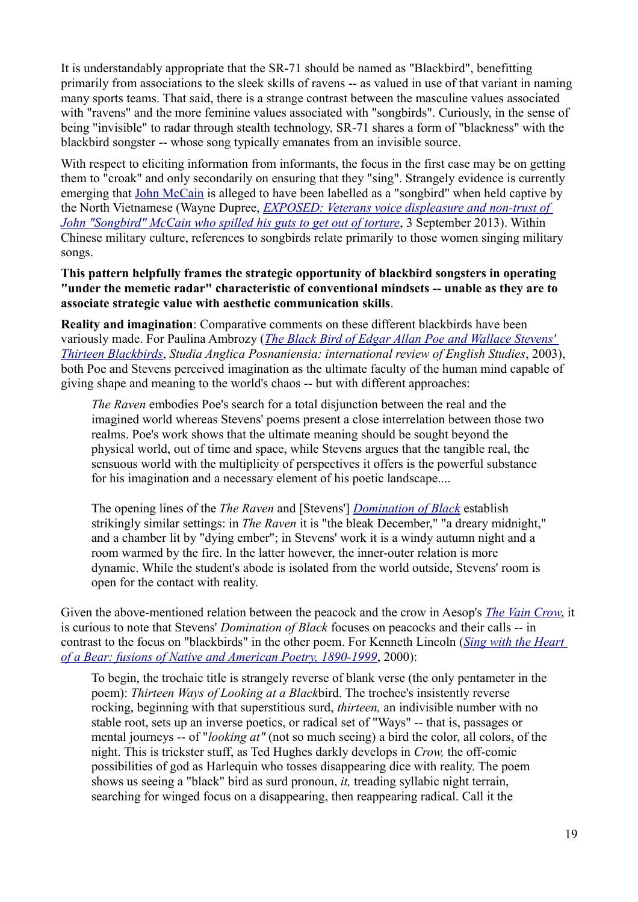It is understandably appropriate that the SR-71 should be named as "Blackbird", benefitting primarily from associations to the sleek skills of ravens -- as valued in use of that variant in naming many sports teams. That said, there is a strange contrast between the masculine values associated with "ravens" and the more feminine values associated with "songbirds". Curiously, in the sense of being "invisible" to radar through stealth technology, SR-71 shares a form of "blackness" with the blackbird songster -- whose song typically emanates from an invisible source.

With respect to eliciting information from informants, the focus in the first case may be on getting them to "croak" and only secondarily on ensuring that they "sing". Strangely evidence is currently emerging that John McCain is alleged to have been labelled as a "songbird" when held captive by the North Vietnamese (Wayne Dupree, *EXPOSED: Veterans voice displeasure and non-trust of John "Songbird" McCain who spilled his guts to get out of torture*, 3 September 2013). Within Chinese military culture, references to songbirds relate primarily to those women singing military songs.

**This pattern helpfully frames the strategic opportunity of blackbird songsters in operating "under the memetic radar" characteristic of conventional mindsets -- unable as they are to associate strategic value with aesthetic communication skills**.

**Reality and imagination**: Comparative comments on these different blackbirds have been variously made. For Paulina Ambrozy (*The Black Bird of Edgar Allan Poe and Wallace Stevens' Thirteen Blackbirds*, *Studia Anglica Posnaniensia: international review of English Studies*, 2003), both Poe and Stevens perceived imagination as the ultimate faculty of the human mind capable of giving shape and meaning to the world's chaos -- but with different approaches:

*The Raven* embodies Poe's search for a total disjunction between the real and the imagined world whereas Stevens' poems present a close interrelation between those two realms. Poe's work shows that the ultimate meaning should be sought beyond the physical world, out of time and space, while Stevens argues that the tangible real, the sensuous world with the multiplicity of perspectives it offers is the powerful substance for his imagination and a necessary element of his poetic landscape....

The opening lines of the *The Raven* and [Stevens'] *Domination of Black* establish strikingly similar settings: in *The Raven* it is "the bleak December," "a dreary midnight," and a chamber lit by "dying ember"; in Stevens' work it is a windy autumn night and a room warmed by the fire. In the latter however, the inner-outer relation is more dynamic. While the student's abode is isolated from the world outside, Stevens' room is open for the contact with reality.

Given the above-mentioned relation between the peacock and the crow in Aesop's *The Vain Crow*, it is curious to note that Stevens' *Domination of Black* focuses on peacocks and their calls -- in contrast to the focus on "blackbirds" in the other poem. For Kenneth Lincoln (*Sing with the Heart of a Bear: fusions of Native and American Poetry, 1890-1999*, 2000):

To begin, the trochaic title is strangely reverse of blank verse (the only pentameter in the poem): *Thirteen Ways of Looking at a Black*bird. The trochee's insistently reverse rocking, beginning with that superstitious surd, *thirteen,* an indivisible number with no stable root, sets up an inverse poetics, or radical set of "Ways" -- that is, passages or mental journeys -- of "*looking at"* (not so much seeing) a bird the color, all colors, of the night. This is trickster stuff, as Ted Hughes darkly develops in *Crow,* the off-comic possibilities of god as Harlequin who tosses disappearing dice with reality. The poem shows us seeing a "black" bird as surd pronoun, *it,* treading syllabic night terrain, searching for winged focus on a disappearing, then reappearing radical. Call it the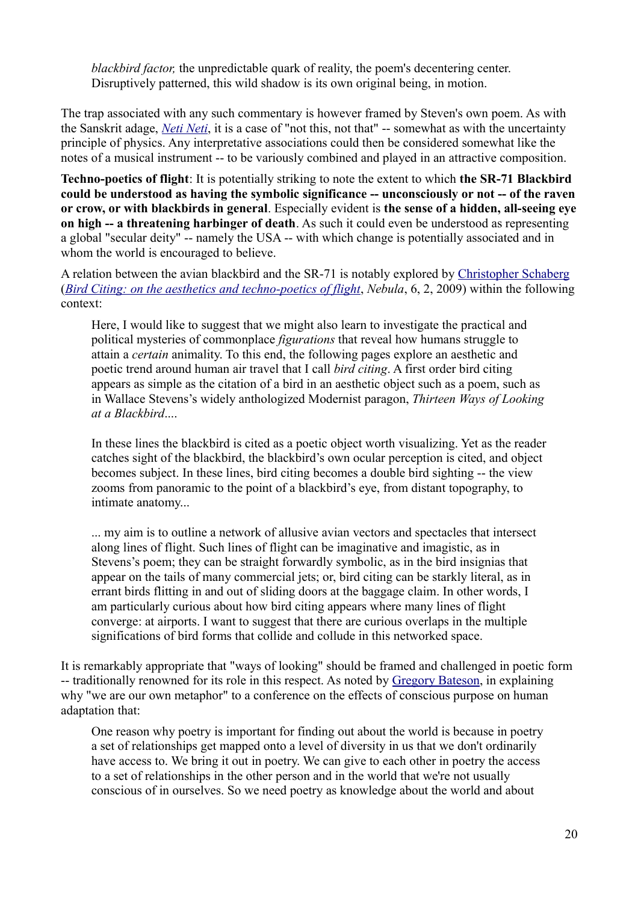*blackbird factor*, the unpredictable quark of reality, the poem's decentering center. Disruptively patterned, this wild shadow is its own original being, in motion.

The trap associated with any such commentary is however framed by Steven's own poem. As with the Sanskrit adage, *Neti Neti*, it is a case of "not this, not that" -- somewhat as with the uncertainty principle of physics. Any interpretative associations could then be considered somewhat like the notes of a musical instrument -- to be variously combined and played in an attractive composition.

**Techno-poetics of flight**: It is potentially striking to note the extent to which **the SR-71 Blackbird could be understood as having the symbolic significance -- unconsciously or not -- of the raven or crow, or with blackbirds in general**. Especially evident is **the sense of a hidden, all-seeing eye on high -- a threatening harbinger of death**. As such it could even be understood as representing a global "secular deity" -- namely the USA -- with which change is potentially associated and in whom the world is encouraged to believe.

A relation between the avian blackbird and the SR-71 is notably explored by Christopher Schaberg (*Bird Citing: on the aesthetics and techno-poetics of flight*, *Nebula*, 6, 2, 2009) within the following context:

Here, I would like to suggest that we might also learn to investigate the practical and political mysteries of commonplace *figurations* that reveal how humans struggle to attain a *certain* animality. To this end, the following pages explore an aesthetic and poetic trend around human air travel that I call *bird citing*. A first order bird citing appears as simple as the citation of a bird in an aesthetic object such as a poem, such as in Wallace Stevens's widely anthologized Modernist paragon, *Thirteen Ways of Looking at a Blackbird*....

In these lines the blackbird is cited as a poetic object worth visualizing. Yet as the reader catches sight of the blackbird, the blackbird's own ocular perception is cited, and object becomes subject. In these lines, bird citing becomes a double bird sighting -- the view zooms from panoramic to the point of a blackbird's eye, from distant topography, to intimate anatomy...

... my aim is to outline a network of allusive avian vectors and spectacles that intersect along lines of flight. Such lines of flight can be imaginative and imagistic, as in Stevens's poem; they can be straight forwardly symbolic, as in the bird insignias that appear on the tails of many commercial jets; or, bird citing can be starkly literal, as in errant birds flitting in and out of sliding doors at the baggage claim. In other words, I am particularly curious about how bird citing appears where many lines of flight converge: at airports. I want to suggest that there are curious overlaps in the multiple significations of bird forms that collide and collude in this networked space.

It is remarkably appropriate that "ways of looking" should be framed and challenged in poetic form -- traditionally renowned for its role in this respect. As noted by Gregory Bateson, in explaining why "we are our own metaphor" to a conference on the effects of conscious purpose on human adaptation that:

One reason why poetry is important for finding out about the world is because in poetry a set of relationships get mapped onto a level of diversity in us that we don't ordinarily have access to. We bring it out in poetry. We can give to each other in poetry the access to a set of relationships in the other person and in the world that we're not usually conscious of in ourselves. So we need poetry as knowledge about the world and about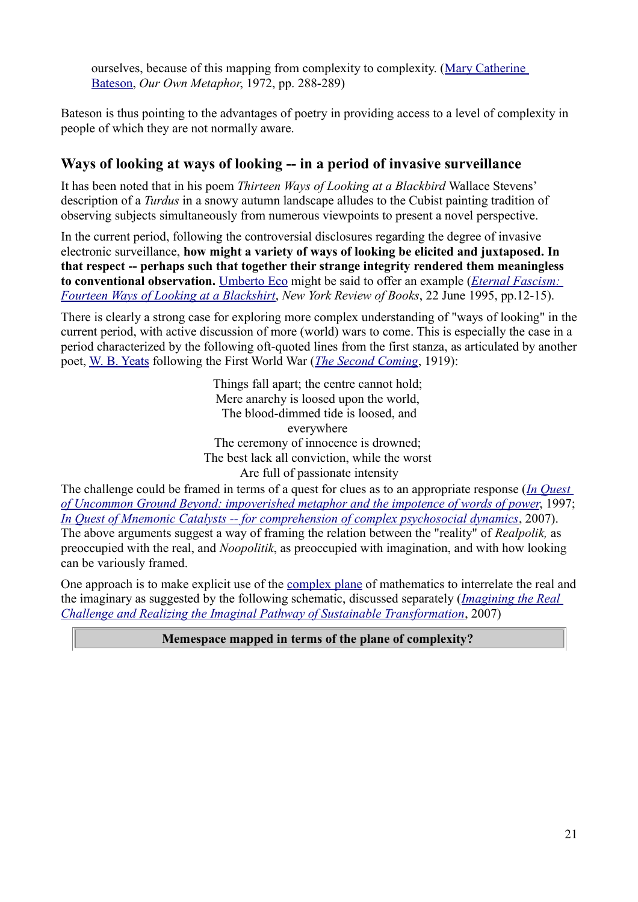ourselves, because of this mapping from complexity to complexity. (Mary Catherine Bateson, *Our Own Metaphor*, 1972, pp. 288-289)

Bateson is thus pointing to the advantages of poetry in providing access to a level of complexity in people of which they are not normally aware.

### **Ways of looking at ways of looking -- in a period of invasive surveillance**

It has been noted that in his poem *Thirteen Ways of Looking at a Blackbird* Wallace Stevens' description of a *Turdus* in a snowy autumn landscape alludes to the Cubist painting tradition of observing subjects simultaneously from numerous viewpoints to present a novel perspective.

In the current period, following the controversial disclosures regarding the degree of invasive electronic surveillance, **how might a variety of ways of looking be elicited and juxtaposed. In that respect -- perhaps such that together their strange integrity rendered them meaningless to conventional observation.** Umberto Eco might be said to offer an example (*Eternal Fascism: Fourteen Ways of Looking at a Blackshirt*, *New York Review of Books*, 22 June 1995, pp.12-15).

There is clearly a strong case for exploring more complex understanding of "ways of looking" in the current period, with active discussion of more (world) wars to come. This is especially the case in a period characterized by the following oft-quoted lines from the first stanza, as articulated by another poet, W. B. Yeats following the First World War (*The Second Coming*, 1919):

> Things fall apart; the centre cannot hold; Mere anarchy is loosed upon the world, The blood-dimmed tide is loosed, and everywhere The ceremony of innocence is drowned; The best lack all conviction, while the worst Are full of passionate intensity

The challenge could be framed in terms of a quest for clues as to an appropriate response (*In Quest of Uncommon Ground Beyond: impoverished metaphor and the impotence of words of power*, 1997; *In Quest of Mnemonic Catalysts -- for comprehension of complex psychosocial dynamics*, 2007). The above arguments suggest a way of framing the relation between the "reality" of *Realpolik,* as preoccupied with the real, and *Noopolitik*, as preoccupied with imagination, and with how looking can be variously framed.

One approach is to make explicit use of the complex plane of mathematics to interrelate the real and the imaginary as suggested by the following schematic, discussed separately (*Imagining the Real Challenge and Realizing the Imaginal Pathway of Sustainable Transformation*, 2007)

#### **Memespace mapped in terms of the plane of complexity?**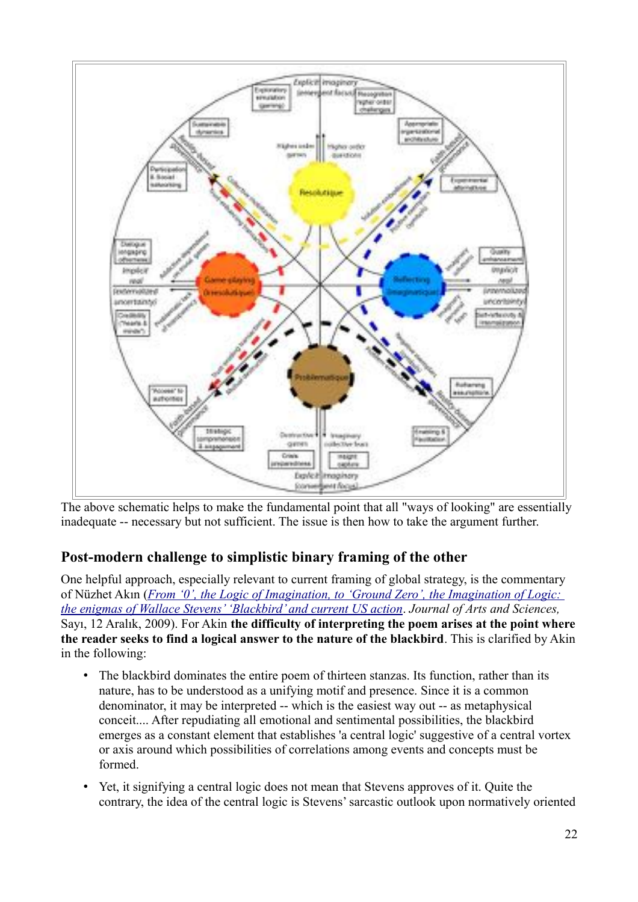

The above schematic helps to make the fundamental point that all "ways of looking" are essentially inadequate -- necessary but not sufficient. The issue is then how to take the argument further.

# **Post-modern challenge to simplistic binary framing of the other**

One helpful approach, especially relevant to current framing of global strategy, is the commentary of Nüzhet Akın (*From '0', the Logic of Imagination, to 'Ground Zero', the Imagination of Logic: the enigmas of Wallace Stevens' 'Blackbird' and current US action*. *Journal of Arts and Sciences,*  Sayı, 12 Aralık, 2009). For Akin **the difficulty of interpreting the poem arises at the point where the reader seeks to find a logical answer to the nature of the blackbird**. This is clarified by Akin in the following:

- The blackbird dominates the entire poem of thirteen stanzas. Its function, rather than its nature, has to be understood as a unifying motif and presence. Since it is a common denominator, it may be interpreted -- which is the easiest way out -- as metaphysical conceit.... After repudiating all emotional and sentimental possibilities, the blackbird emerges as a constant element that establishes 'a central logic' suggestive of a central vortex or axis around which possibilities of correlations among events and concepts must be formed.
- Yet, it signifying a central logic does not mean that Stevens approves of it. Quite the contrary, the idea of the central logic is Stevens' sarcastic outlook upon normatively oriented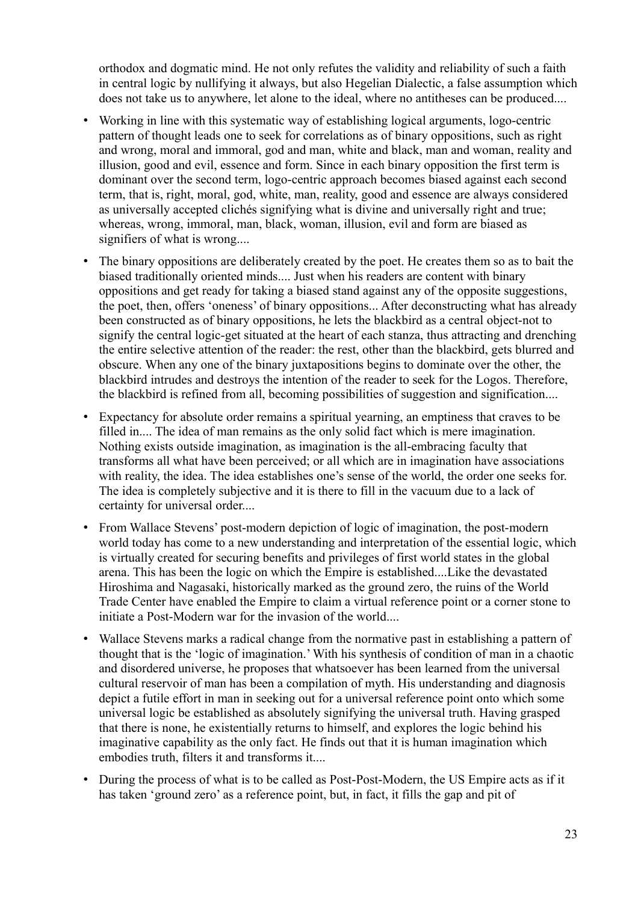orthodox and dogmatic mind. He not only refutes the validity and reliability of such a faith in central logic by nullifying it always, but also Hegelian Dialectic, a false assumption which does not take us to anywhere, let alone to the ideal, where no antitheses can be produced....

- Working in line with this systematic way of establishing logical arguments, logo-centric pattern of thought leads one to seek for correlations as of binary oppositions, such as right and wrong, moral and immoral, god and man, white and black, man and woman, reality and illusion, good and evil, essence and form. Since in each binary opposition the first term is dominant over the second term, logo-centric approach becomes biased against each second term, that is, right, moral, god, white, man, reality, good and essence are always considered as universally accepted clichés signifying what is divine and universally right and true; whereas, wrong, immoral, man, black, woman, illusion, evil and form are biased as signifiers of what is wrong....
- The binary oppositions are deliberately created by the poet. He creates them so as to bait the biased traditionally oriented minds.... Just when his readers are content with binary oppositions and get ready for taking a biased stand against any of the opposite suggestions, the poet, then, offers 'oneness' of binary oppositions... After deconstructing what has already been constructed as of binary oppositions, he lets the blackbird as a central object-not to signify the central logic-get situated at the heart of each stanza, thus attracting and drenching the entire selective attention of the reader: the rest, other than the blackbird, gets blurred and obscure. When any one of the binary juxtapositions begins to dominate over the other, the blackbird intrudes and destroys the intention of the reader to seek for the Logos. Therefore, the blackbird is refined from all, becoming possibilities of suggestion and signification....
- Expectancy for absolute order remains a spiritual yearning, an emptiness that craves to be filled in.... The idea of man remains as the only solid fact which is mere imagination. Nothing exists outside imagination, as imagination is the all-embracing faculty that transforms all what have been perceived; or all which are in imagination have associations with reality, the idea. The idea establishes one's sense of the world, the order one seeks for. The idea is completely subjective and it is there to fill in the vacuum due to a lack of certainty for universal order....
- From Wallace Stevens' post-modern depiction of logic of imagination, the post-modern world today has come to a new understanding and interpretation of the essential logic, which is virtually created for securing benefits and privileges of first world states in the global arena. This has been the logic on which the Empire is established....Like the devastated Hiroshima and Nagasaki, historically marked as the ground zero, the ruins of the World Trade Center have enabled the Empire to claim a virtual reference point or a corner stone to initiate a Post-Modern war for the invasion of the world....
- Wallace Stevens marks a radical change from the normative past in establishing a pattern of thought that is the 'logic of imagination.' With his synthesis of condition of man in a chaotic and disordered universe, he proposes that whatsoever has been learned from the universal cultural reservoir of man has been a compilation of myth. His understanding and diagnosis depict a futile effort in man in seeking out for a universal reference point onto which some universal logic be established as absolutely signifying the universal truth. Having grasped that there is none, he existentially returns to himself, and explores the logic behind his imaginative capability as the only fact. He finds out that it is human imagination which embodies truth, filters it and transforms it....
- During the process of what is to be called as Post-Post-Modern, the US Empire acts as if it has taken 'ground zero' as a reference point, but, in fact, it fills the gap and pit of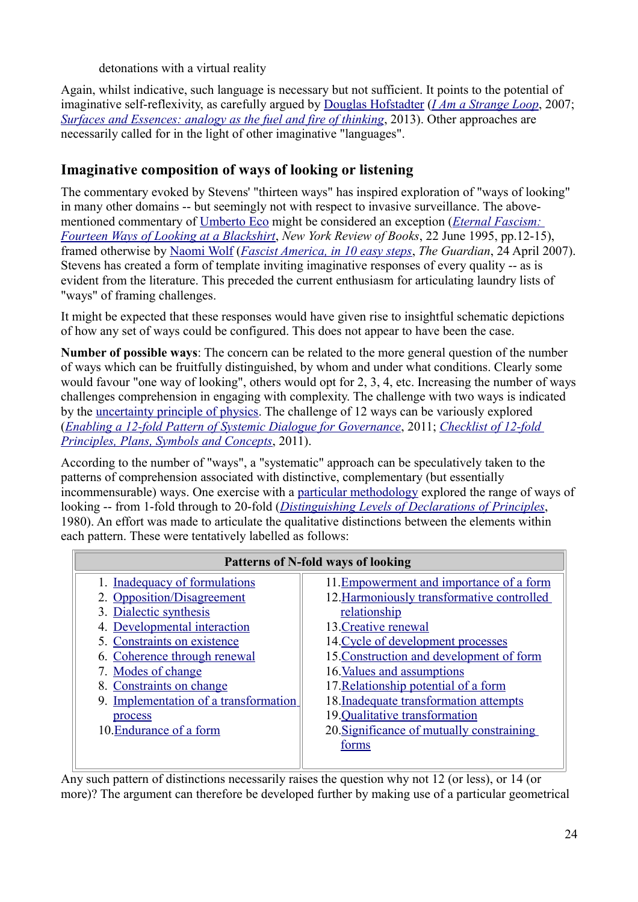detonations with a virtual reality

Again, whilst indicative, such language is necessary but not sufficient. It points to the potential of imaginative self-reflexivity, as carefully argued by Douglas Hofstadter (*I Am a Strange Loop*, 2007; *Surfaces and Essences: analogy as the fuel and fire of thinking*, 2013). Other approaches are necessarily called for in the light of other imaginative "languages".

# **Imaginative composition of ways of looking or listening**

The commentary evoked by Stevens' "thirteen ways" has inspired exploration of "ways of looking" in many other domains -- but seemingly not with respect to invasive surveillance. The abovementioned commentary of Umberto Eco might be considered an exception (*Eternal Fascism: Fourteen Ways of Looking at a Blackshirt*, *New York Review of Books*, 22 June 1995, pp.12-15), framed otherwise by Naomi Wolf (*Fascist America, in 10 easy steps*, *The Guardian*, 24 April 2007). Stevens has created a form of template inviting imaginative responses of every quality -- as is evident from the literature. This preceded the current enthusiasm for articulating laundry lists of "ways" of framing challenges.

It might be expected that these responses would have given rise to insightful schematic depictions of how any set of ways could be configured. This does not appear to have been the case.

**Number of possible ways**: The concern can be related to the more general question of the number of ways which can be fruitfully distinguished, by whom and under what conditions. Clearly some would favour "one way of looking", others would opt for 2, 3, 4, etc. Increasing the number of ways challenges comprehension in engaging with complexity. The challenge with two ways is indicated by the uncertainty principle of physics. The challenge of 12 ways can be variously explored (*Enabling a 12-fold Pattern of Systemic Dialogue for Governance*, 2011; *Checklist of 12-fold Principles, Plans, Symbols and Concepts*, 2011).

According to the number of "ways", a "systematic" approach can be speculatively taken to the patterns of comprehension associated with distinctive, complementary (but essentially incommensurable) ways. One exercise with a particular methodology explored the range of ways of looking -- from 1-fold through to 20-fold (*Distinguishing Levels of Declarations of Principles*, 1980). An effort was made to articulate the qualitative distinctions between the elements within each pattern. These were tentatively labelled as follows:

| <b>Patterns of N-fold ways of looking</b> |                                            |  |
|-------------------------------------------|--------------------------------------------|--|
| 1. Inadequacy of formulations             | 11. Empowerment and importance of a form   |  |
| 2. Opposition/Disagreement                | 12. Harmoniously transformative controlled |  |
| 3. Dialectic synthesis                    | relationship                               |  |
| 4. Developmental interaction              | 13. Creative renewal                       |  |
| 5. Constraints on existence               | 14. Cycle of development processes         |  |
| 6. Coherence through renewal              | 15. Construction and development of form   |  |
| 7. Modes of change                        | 16. Values and assumptions                 |  |
| 8. Constraints on change                  | 17. Relationship potential of a form       |  |
| 9. Implementation of a transformation     | 18. Inadequate transformation attempts     |  |
| process                                   | 19.Qualitative transformation              |  |
| 10. Endurance of a form                   | 20. Significance of mutually constraining  |  |
|                                           | forms                                      |  |
|                                           |                                            |  |

Any such pattern of distinctions necessarily raises the question why not 12 (or less), or 14 (or more)? The argument can therefore be developed further by making use of a particular geometrical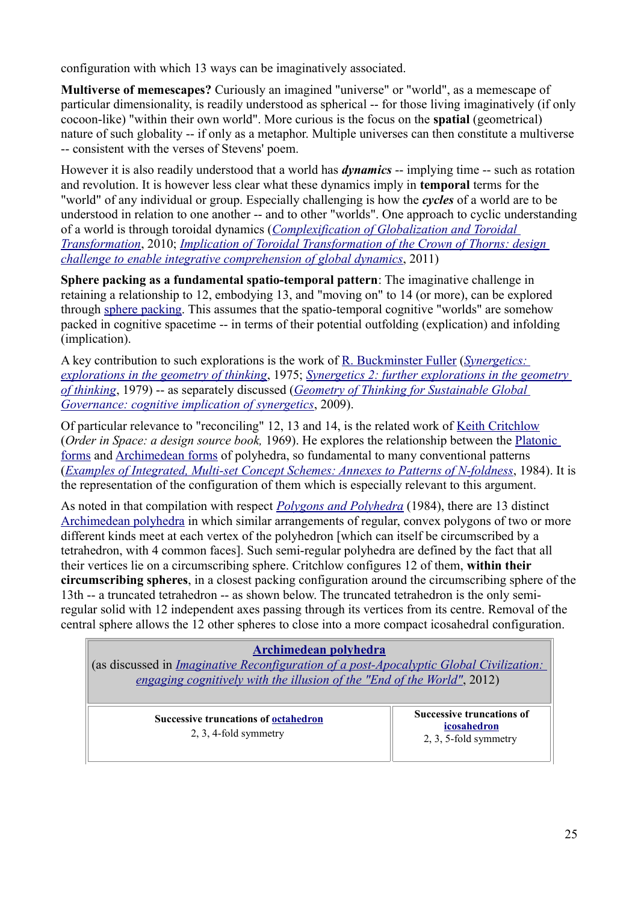configuration with which 13 ways can be imaginatively associated.

**Multiverse of memescapes?** Curiously an imagined "universe" or "world", as a memescape of particular dimensionality, is readily understood as spherical -- for those living imaginatively (if only cocoon-like) "within their own world". More curious is the focus on the **spatial** (geometrical) nature of such globality -- if only as a metaphor. Multiple universes can then constitute a multiverse -- consistent with the verses of Stevens' poem.

However it is also readily understood that a world has *dynamics* -- implying time -- such as rotation and revolution. It is however less clear what these dynamics imply in **temporal** terms for the "world" of any individual or group. Especially challenging is how the *cycles* of a world are to be understood in relation to one another -- and to other "worlds". One approach to cyclic understanding of a world is through toroidal dynamics (*Complexification of Globalization and Toroidal Transformation*, 2010; *Implication of Toroidal Transformation of the Crown of Thorns: design challenge to enable integrative comprehension of global dynamics*, 2011)

**Sphere packing as a fundamental spatio-temporal pattern**: The imaginative challenge in retaining a relationship to 12, embodying 13, and "moving on" to 14 (or more), can be explored through sphere packing. This assumes that the spatio-temporal cognitive "worlds" are somehow packed in cognitive spacetime -- in terms of their potential outfolding (explication) and infolding (implication).

A key contribution to such explorations is the work of R. Buckminster Fuller (*Synergetics: explorations in the geometry of thinking*, 1975; *Synergetics 2: further explorations in the geometry of thinking*, 1979) -- as separately discussed (*Geometry of Thinking for Sustainable Global Governance: cognitive implication of synergetics*, 2009).

Of particular relevance to "reconciling" 12, 13 and 14, is the related work of Keith Critchlow (*Order in Space: a design source book,* 1969). He explores the relationship between the Platonic forms and Archimedean forms of polyhedra, so fundamental to many conventional patterns (*Examples of Integrated, Multi-set Concept Schemes: Annexes to Patterns of N-foldness*, 1984). It is the representation of the configuration of them which is especially relevant to this argument.

As noted in that compilation with respect *Polygons and Polyhedra* (1984), there are 13 distinct Archimedean polyhedra in which similar arrangements of regular, convex polygons of two or more different kinds meet at each vertex of the polyhedron [which can itself be circumscribed by a tetrahedron, with 4 common faces]. Such semi-regular polyhedra are defined by the fact that all their vertices lie on a circumscribing sphere. Critchlow configures 12 of them, **within their circumscribing spheres**, in a closest packing configuration around the circumscribing sphere of the 13th -- a truncated tetrahedron -- as shown below. The truncated tetrahedron is the only semiregular solid with 12 independent axes passing through its vertices from its centre. Removal of the central sphere allows the 12 other spheres to close into a more compact icosahedral configuration.

#### **Archimedean polyhedra**

(as discussed in *Imaginative Reconfiguration of a post-Apocalyptic Global Civilization: engaging cognitively with the illusion of the "End of the World"*, 2012)

| <b>Successive truncations of octahedron</b><br>2, 3, 4-fold symmetry | <b>Successive truncations of</b><br>icosahedron<br>2, 3, 5-fold symmetry |
|----------------------------------------------------------------------|--------------------------------------------------------------------------|
|----------------------------------------------------------------------|--------------------------------------------------------------------------|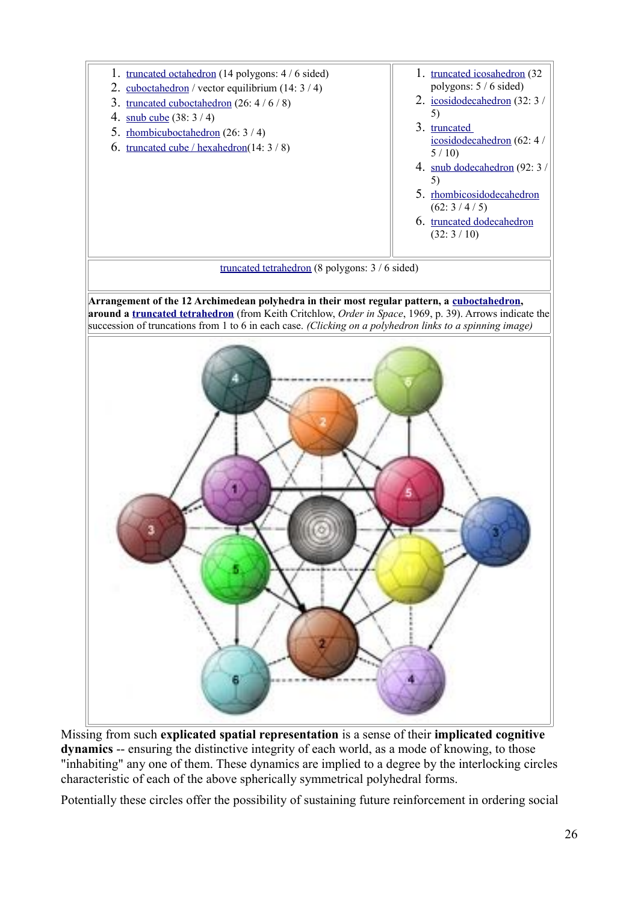

Missing from such **explicated spatial representation** is a sense of their **implicated cognitive dynamics** -- ensuring the distinctive integrity of each world, as a mode of knowing, to those "inhabiting" any one of them. These dynamics are implied to a degree by the interlocking circles characteristic of each of the above spherically symmetrical polyhedral forms.

Potentially these circles offer the possibility of sustaining future reinforcement in ordering social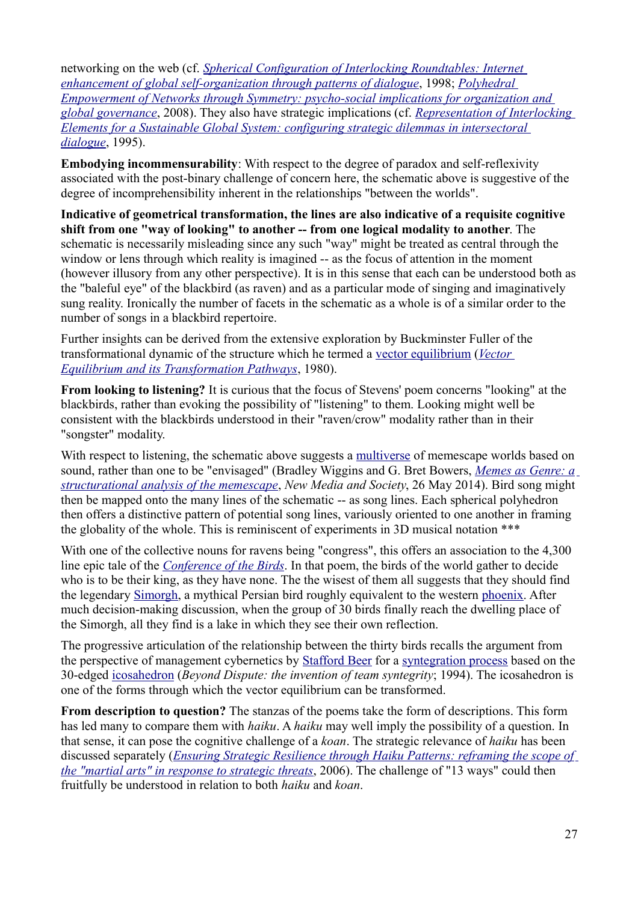networking on the web (cf. *Spherical Configuration of Interlocking Roundtables: Internet enhancement of global self-organization through patterns of dialogue*, 1998; *Polyhedral Empowerment of Networks through Symmetry: psycho-social implications for organization and global governance*, 2008). They also have strategic implications (cf. *Representation of Interlocking Elements for a Sustainable Global System: configuring strategic dilemmas in intersectoral dialogue*, 1995).

**Embodying incommensurability**: With respect to the degree of paradox and self-reflexivity associated with the post-binary challenge of concern here, the schematic above is suggestive of the degree of incomprehensibility inherent in the relationships "between the worlds".

**Indicative of geometrical transformation, the lines are also indicative of a requisite cognitive shift from one "way of looking" to another -- from one logical modality to another**. The schematic is necessarily misleading since any such "way" might be treated as central through the window or lens through which reality is imagined -- as the focus of attention in the moment (however illusory from any other perspective). It is in this sense that each can be understood both as the "baleful eye" of the blackbird (as raven) and as a particular mode of singing and imaginatively sung reality. Ironically the number of facets in the schematic as a whole is of a similar order to the number of songs in a blackbird repertoire.

Further insights can be derived from the extensive exploration by Buckminster Fuller of the transformational dynamic of the structure which he termed a vector equilibrium (*Vector Equilibrium and its Transformation Pathways*, 1980).

**From looking to listening?** It is curious that the focus of Stevens' poem concerns "looking" at the blackbirds, rather than evoking the possibility of "listening" to them. Looking might well be consistent with the blackbirds understood in their "raven/crow" modality rather than in their "songster" modality.

With respect to listening, the schematic above suggests a multiverse of memescape worlds based on sound, rather than one to be "envisaged" (Bradley Wiggins and G. Bret Bowers, *Memes as Genre: a structurational analysis of the memescape*, *New Media and Society*, 26 May 2014). Bird song might then be mapped onto the many lines of the schematic -- as song lines. Each spherical polyhedron then offers a distinctive pattern of potential song lines, variously oriented to one another in framing the globality of the whole. This is reminiscent of experiments in 3D musical notation \*\*\*

With one of the collective nouns for ravens being "congress", this offers an association to the 4,300 line epic tale of the *Conference of the Birds*. In that poem, the birds of the world gather to decide who is to be their king, as they have none. The the wisest of them all suggests that they should find the legendary Simorgh, a mythical Persian bird roughly equivalent to the western phoenix. After much decision-making discussion, when the group of 30 birds finally reach the dwelling place of the Simorgh, all they find is a lake in which they see their own reflection.

The progressive articulation of the relationship between the thirty birds recalls the argument from the perspective of management cybernetics by **Stafford Beer** for a syntegration process based on the 30-edged icosahedron (*Beyond Dispute: the invention of team syntegrity*; 1994). The icosahedron is one of the forms through which the vector equilibrium can be transformed.

**From description to question?** The stanzas of the poems take the form of descriptions. This form has led many to compare them with *haiku*. A *haiku* may well imply the possibility of a question. In that sense, it can pose the cognitive challenge of a *koan*. The strategic relevance of *haiku* has been discussed separately (*Ensuring Strategic Resilience through Haiku Patterns: reframing the scope of the "martial arts" in response to strategic threats*, 2006). The challenge of "13 ways" could then fruitfully be understood in relation to both *haiku* and *koan*.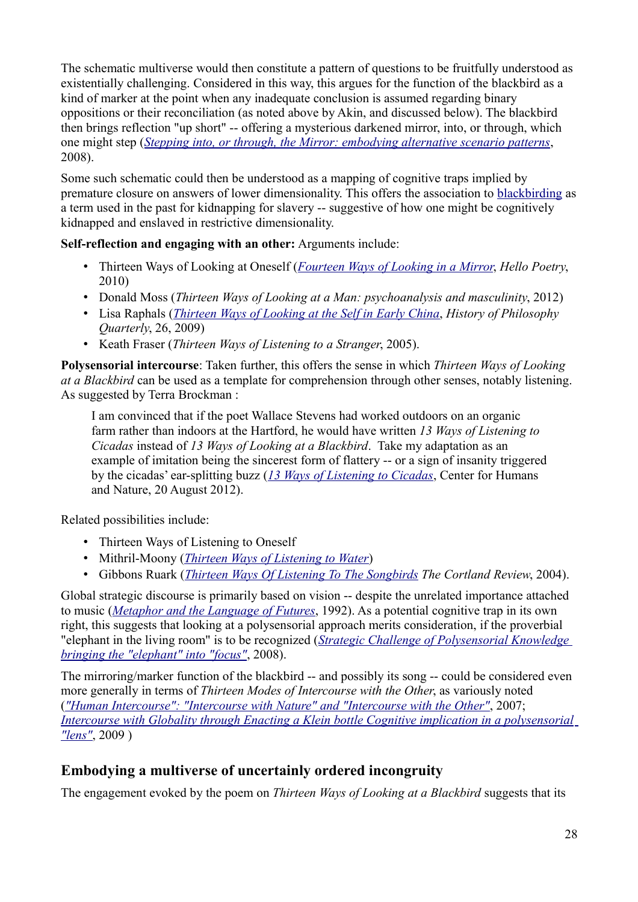The schematic multiverse would then constitute a pattern of questions to be fruitfully understood as existentially challenging. Considered in this way, this argues for the function of the blackbird as a kind of marker at the point when any inadequate conclusion is assumed regarding binary oppositions or their reconciliation (as noted above by Akin, and discussed below). The blackbird then brings reflection "up short" -- offering a mysterious darkened mirror, into, or through, which one might step (*Stepping into, or through, the Mirror: embodying alternative scenario patterns*, 2008).

Some such schematic could then be understood as a mapping of cognitive traps implied by premature closure on answers of lower dimensionality. This offers the association to blackbirding as a term used in the past for kidnapping for slavery -- suggestive of how one might be cognitively kidnapped and enslaved in restrictive dimensionality.

**Self-reflection and engaging with an other:** Arguments include:

- Thirteen Ways of Looking at Oneself (*Fourteen Ways of Looking in a Mirror*, *Hello Poetry*, 2010)
- Donald Moss (*Thirteen Ways of Looking at a Man: psychoanalysis and masculinity*, 2012)
- Lisa Raphals (*Thirteen Ways of Looking at the Self in Early China*, *History of Philosophy Quarterly*, 26, 2009)
- Keath Fraser (*Thirteen Ways of Listening to a Stranger*, 2005).

**Polysensorial intercourse**: Taken further, this offers the sense in which *Thirteen Ways of Looking at a Blackbird* can be used as a template for comprehension through other senses, notably listening. As suggested by Terra Brockman :

I am convinced that if the poet Wallace Stevens had worked outdoors on an organic farm rather than indoors at the Hartford, he would have written *13 Ways of Listening to Cicadas* instead of *13 Ways of Looking at a Blackbird*. Take my adaptation as an example of imitation being the sincerest form of flattery -- or a sign of insanity triggered by the cicadas' ear-splitting buzz (*13 Ways of Listening to Cicadas*, Center for Humans and Nature, 20 August 2012).

Related possibilities include:

- Thirteen Ways of Listening to Oneself
- Mithril-Moony (*Thirteen Ways of Listening to Water*)
- Gibbons Ruark (*Thirteen Ways Of Listening To The Songbirds The Cortland Review*, 2004).

Global strategic discourse is primarily based on vision -- despite the unrelated importance attached to music (*Metaphor and the Language of Futures*, 1992). As a potential cognitive trap in its own right, this suggests that looking at a polysensorial approach merits consideration, if the proverbial "elephant in the living room" is to be recognized (*Strategic Challenge of Polysensorial Knowledge bringing the "elephant" into "focus"*, 2008).

The mirroring/marker function of the blackbird -- and possibly its song -- could be considered even more generally in terms of *Thirteen Modes of Intercourse with the Other*, as variously noted (*"Human Intercourse": "Intercourse with Nature" and "Intercourse with the Other"*, 2007; *Intercourse with Globality through Enacting a Klein bottle Cognitive implication in a polysensorial "lens"*, 2009 )

# **Embodying a multiverse of uncertainly ordered incongruity**

The engagement evoked by the poem on *Thirteen Ways of Looking at a Blackbird* suggests that its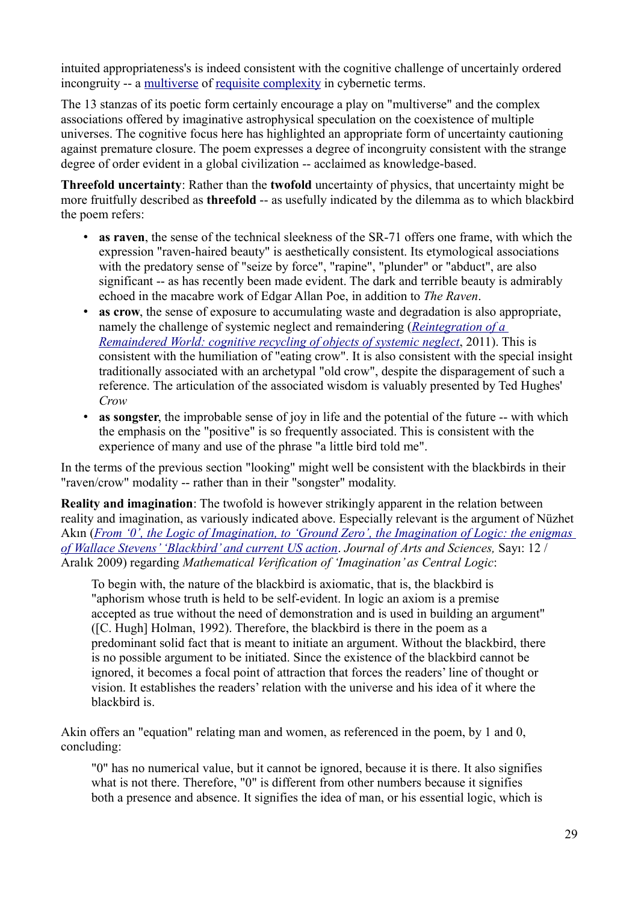intuited appropriateness's is indeed consistent with the cognitive challenge of uncertainly ordered incongruity -- a multiverse of requisite complexity in cybernetic terms.

The 13 stanzas of its poetic form certainly encourage a play on "multiverse" and the complex associations offered by imaginative astrophysical speculation on the coexistence of multiple universes. The cognitive focus here has highlighted an appropriate form of uncertainty cautioning against premature closure. The poem expresses a degree of incongruity consistent with the strange degree of order evident in a global civilization -- acclaimed as knowledge-based.

**Threefold uncertainty**: Rather than the **twofold** uncertainty of physics, that uncertainty might be more fruitfully described as **threefold** -- as usefully indicated by the dilemma as to which blackbird the poem refers:

- **as raven**, the sense of the technical sleekness of the SR-71 offers one frame, with which the expression "raven-haired beauty" is aesthetically consistent. Its etymological associations with the predatory sense of "seize by force", "rapine", "plunder" or "abduct", are also significant -- as has recently been made evident. The dark and terrible beauty is admirably echoed in the macabre work of Edgar Allan Poe, in addition to *The Raven*.
- as crow, the sense of exposure to accumulating waste and degradation is also appropriate, namely the challenge of systemic neglect and remaindering (*Reintegration of a Remaindered World: cognitive recycling of objects of systemic neglect*, 2011). This is consistent with the humiliation of "eating crow". It is also consistent with the special insight traditionally associated with an archetypal "old crow", despite the disparagement of such a reference. The articulation of the associated wisdom is valuably presented by Ted Hughes' *Crow*
- **as songster**, the improbable sense of joy in life and the potential of the future -- with which the emphasis on the "positive" is so frequently associated. This is consistent with the experience of many and use of the phrase "a little bird told me".

In the terms of the previous section "looking" might well be consistent with the blackbirds in their "raven/crow" modality -- rather than in their "songster" modality.

**Reality and imagination**: The twofold is however strikingly apparent in the relation between reality and imagination, as variously indicated above. Especially relevant is the argument of Nüzhet Akın (*From '0', the Logic of Imagination, to 'Ground Zero', the Imagination of Logic: the enigmas of Wallace Stevens' 'Blackbird' and current US action*. *Journal of Arts and Sciences,* Sayı: 12 / Aralık 2009) regarding *Mathematical Verification of 'Imagination' as Central Logic*:

To begin with, the nature of the blackbird is axiomatic, that is, the blackbird is "aphorism whose truth is held to be self-evident. In logic an axiom is a premise accepted as true without the need of demonstration and is used in building an argument" ([C. Hugh] Holman, 1992). Therefore, the blackbird is there in the poem as a predominant solid fact that is meant to initiate an argument. Without the blackbird, there is no possible argument to be initiated. Since the existence of the blackbird cannot be ignored, it becomes a focal point of attraction that forces the readers' line of thought or vision. It establishes the readers' relation with the universe and his idea of it where the blackbird is.

Akin offers an "equation" relating man and women, as referenced in the poem, by 1 and 0, concluding:

"0" has no numerical value, but it cannot be ignored, because it is there. It also signifies what is not there. Therefore, "0" is different from other numbers because it signifies both a presence and absence. It signifies the idea of man, or his essential logic, which is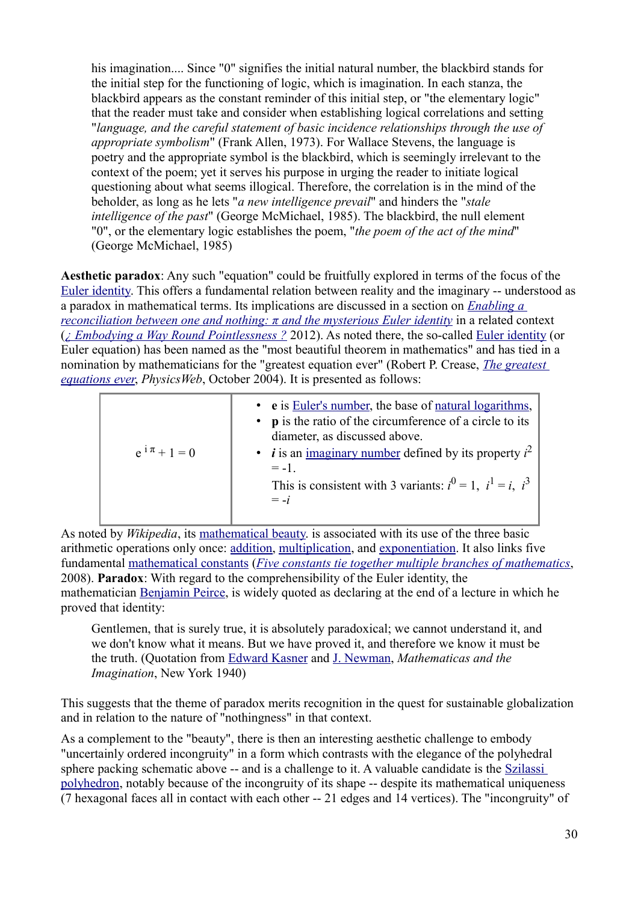his imagination.... Since "0" signifies the initial natural number, the blackbird stands for the initial step for the functioning of logic, which is imagination. In each stanza, the blackbird appears as the constant reminder of this initial step, or "the elementary logic" that the reader must take and consider when establishing logical correlations and setting "*language, and the careful statement of basic incidence relationships through the use of appropriate symbolism*" (Frank Allen, 1973). For Wallace Stevens, the language is poetry and the appropriate symbol is the blackbird, which is seemingly irrelevant to the context of the poem; yet it serves his purpose in urging the reader to initiate logical questioning about what seems illogical. Therefore, the correlation is in the mind of the beholder, as long as he lets "*a new intelligence prevail*" and hinders the "*stale intelligence of the past*" (George McMichael, 1985). The blackbird, the null element "0", or the elementary logic establishes the poem, "*the poem of the act of the mind*" (George McMichael, 1985)

**Aesthetic paradox**: Any such "equation" could be fruitfully explored in terms of the focus of the Euler identity. This offers a fundamental relation between reality and the imaginary -- understood as a paradox in mathematical terms. Its implications are discussed in a section on *Enabling a reconciliation between one and nothing:* π *and the mysterious Euler identity* in a related context (*¿ Embodying a Way Round Pointlessness ?* 2012). As noted there, the so-called Euler identity (or Euler equation) has been named as the "most beautiful theorem in mathematics" and has tied in a nomination by mathematicians for the "greatest equation ever" (Robert P. Crease, *The greatest equations ever*, *PhysicsWeb*, October 2004). It is presented as follows:

| $e^{i\pi} + 1 = 0$ | • e is Euler's number, the base of natural logarithms,<br>• p is the ratio of the circumference of a circle to its<br>diameter, as discussed above.<br>• <i>i</i> is an <u>imaginary number</u> defined by its property $i^2$<br>$= -1$<br>This is consistent with 3 variants: $i^0 = 1$ , $i^1 = i$ , $i^3$<br>$= -i$ |
|--------------------|------------------------------------------------------------------------------------------------------------------------------------------------------------------------------------------------------------------------------------------------------------------------------------------------------------------------|
|--------------------|------------------------------------------------------------------------------------------------------------------------------------------------------------------------------------------------------------------------------------------------------------------------------------------------------------------------|

As noted by *Wikipedia*, its mathematical beauty. is associated with its use of the three basic arithmetic operations only once: addition, multiplication, and exponentiation. It also links five fundamental mathematical constants (*Five constants tie together multiple branches of mathematics*, 2008). **Paradox**: With regard to the comprehensibility of the Euler identity, the mathematician Benjamin Peirce, is widely quoted as declaring at the end of a lecture in which he proved that identity:

Gentlemen, that is surely true, it is absolutely paradoxical; we cannot understand it, and we don't know what it means. But we have proved it, and therefore we know it must be the truth. (Quotation from Edward Kasner and J. Newman, *Mathematicas and the Imagination*, New York 1940)

This suggests that the theme of paradox merits recognition in the quest for sustainable globalization and in relation to the nature of "nothingness" in that context.

As a complement to the "beauty", there is then an interesting aesthetic challenge to embody "uncertainly ordered incongruity" in a form which contrasts with the elegance of the polyhedral sphere packing schematic above -- and is a challenge to it. A valuable candidate is the Szilassi polyhedron, notably because of the incongruity of its shape -- despite its mathematical uniqueness (7 hexagonal faces all in contact with each other -- 21 edges and 14 vertices). The "incongruity" of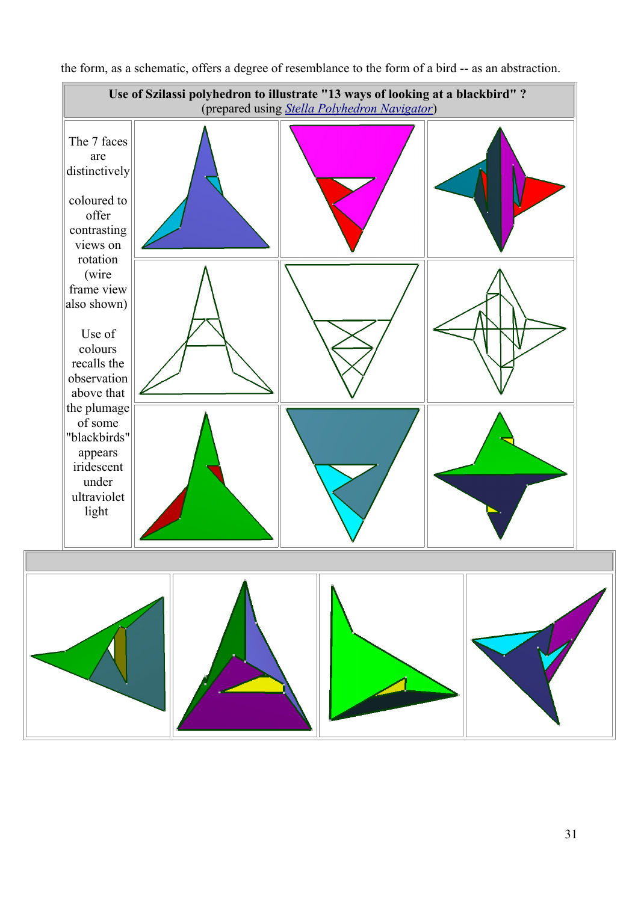

the form, as a schematic, offers a degree of resemblance to the form of a bird -- as an abstraction.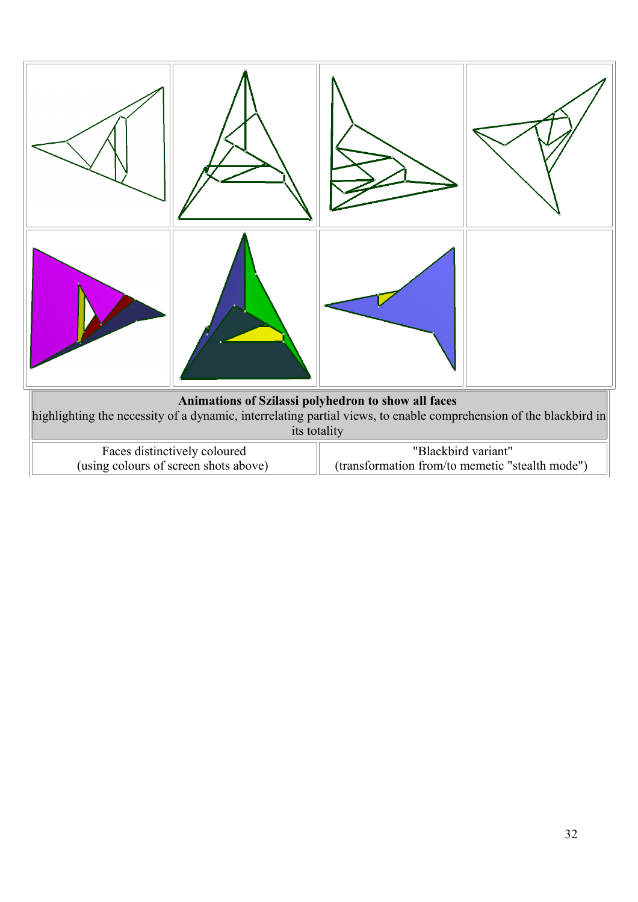

| Faces distinctively coloured          | "Blackbird variant"                             |
|---------------------------------------|-------------------------------------------------|
| (using colours of screen shots above) | (transformation from/to memetic "stealth mode") |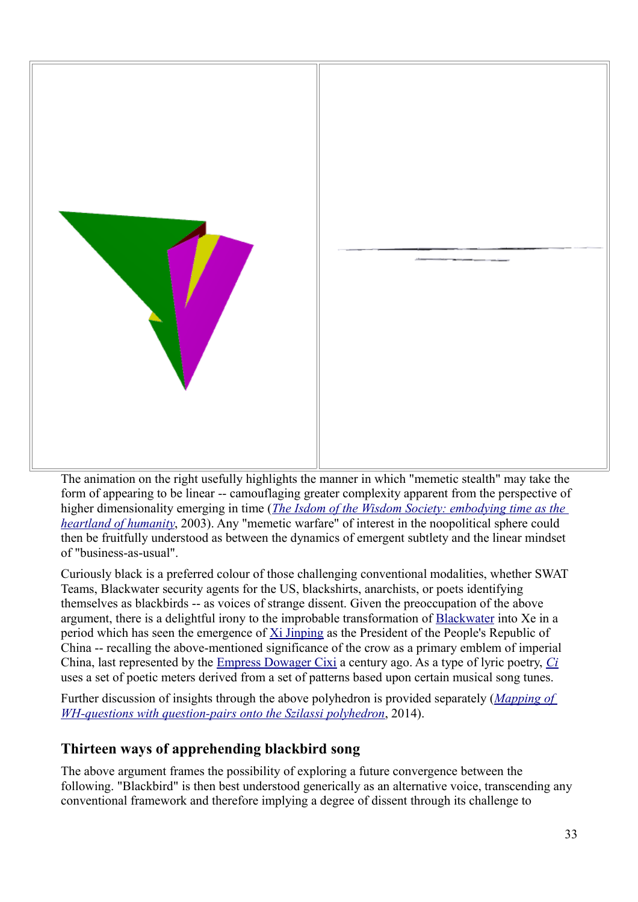

The animation on the right usefully highlights the manner in which "memetic stealth" may take the form of appearing to be linear -- camouflaging greater complexity apparent from the perspective of higher dimensionality emerging in time (*The Isdom of the Wisdom Society: embodying time as the heartland of humanity*, 2003). Any "memetic warfare" of interest in the noopolitical sphere could then be fruitfully understood as between the dynamics of emergent subtlety and the linear mindset of "business-as-usual".

Curiously black is a preferred colour of those challenging conventional modalities, whether SWAT Teams, Blackwater security agents for the US, blackshirts, anarchists, or poets identifying themselves as blackbirds -- as voices of strange dissent. Given the preoccupation of the above argument, there is a delightful irony to the improbable transformation of Blackwater into Xe in a period which has seen the emergence of Xi Jinping as the President of the People's Republic of China -- recalling the above-mentioned significance of the crow as a primary emblem of imperial China, last represented by the Empress Dowager Cixi a century ago. As a type of lyric poetry, *Ci* uses a set of poetic meters derived from a set of patterns based upon certain musical song tunes.

Further discussion of insights through the above polyhedron is provided separately (*Mapping of WH-questions with question-pairs onto the Szilassi polyhedron*, 2014).

# **Thirteen ways of apprehending blackbird song**

The above argument frames the possibility of exploring a future convergence between the following. "Blackbird" is then best understood generically as an alternative voice, transcending any conventional framework and therefore implying a degree of dissent through its challenge to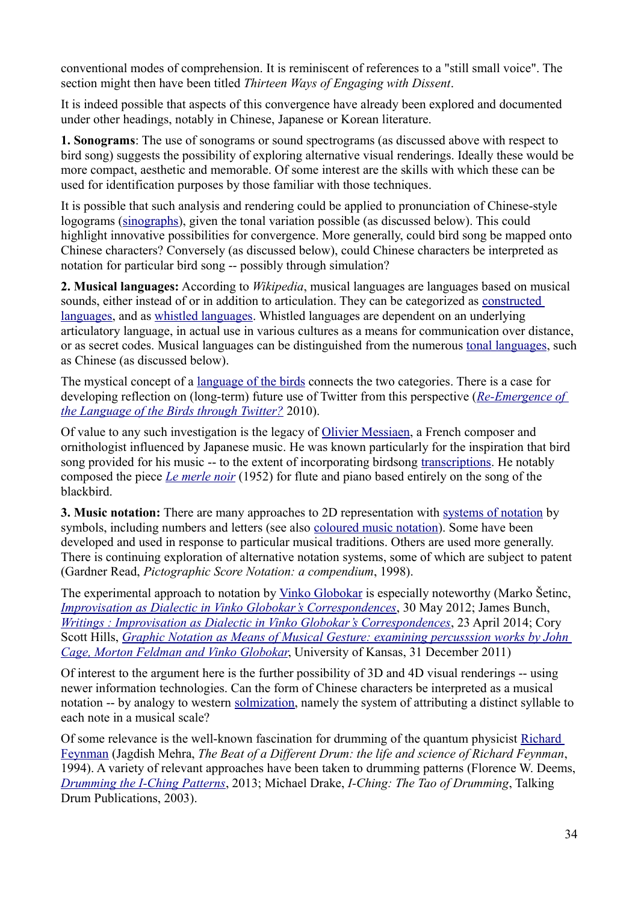conventional modes of comprehension. It is reminiscent of references to a "still small voice". The section might then have been titled *Thirteen Ways of Engaging with Dissent*.

It is indeed possible that aspects of this convergence have already been explored and documented under other headings, notably in Chinese, Japanese or Korean literature.

**1. Sonograms**: The use of sonograms or sound spectrograms (as discussed above with respect to bird song) suggests the possibility of exploring alternative visual renderings. Ideally these would be more compact, aesthetic and memorable. Of some interest are the skills with which these can be used for identification purposes by those familiar with those techniques.

It is possible that such analysis and rendering could be applied to pronunciation of Chinese-style logograms (sinographs), given the tonal variation possible (as discussed below). This could highlight innovative possibilities for convergence. More generally, could bird song be mapped onto Chinese characters? Conversely (as discussed below), could Chinese characters be interpreted as notation for particular bird song -- possibly through simulation?

**2. Musical languages:** According to *Wikipedia*, musical languages are languages based on musical sounds, either instead of or in addition to articulation. They can be categorized as constructed languages, and as whistled languages. Whistled languages are dependent on an underlying articulatory language, in actual use in various cultures as a means for communication over distance, or as secret codes. Musical languages can be distinguished from the numerous tonal languages, such as Chinese (as discussed below).

The mystical concept of a language of the birds connects the two categories. There is a case for developing reflection on (long-term) future use of Twitter from this perspective (*Re-Emergence of the Language of the Birds through Twitter?* 2010).

Of value to any such investigation is the legacy of Olivier Messiaen, a French composer and ornithologist influenced by Japanese music. He was known particularly for the inspiration that bird song provided for his music -- to the extent of incorporating birdsong transcriptions. He notably composed the piece *Le merle noir* (1952) for flute and piano based entirely on the song of the blackbird.

**3. Music notation:** There are many approaches to 2D representation with systems of notation by symbols, including numbers and letters (see also coloured music notation). Some have been developed and used in response to particular musical traditions. Others are used more generally. There is continuing exploration of alternative notation systems, some of which are subject to patent (Gardner Read, *Pictographic Score Notation: a compendium*, 1998).

The experimental approach to notation by Vinko Globokar is especially noteworthy (Marko Šetinc, *Improvisation as Dialectic in Vinko Globokar's Correspondences*, 30 May 2012; James Bunch, *Writings : Improvisation as Dialectic in Vinko Globokar's Correspondences*, 23 April 2014; Cory Scott Hills, *Graphic Notation as Means of Musical Gesture: examining percusssion works by John Cage, Morton Feldman and Vinko Globokar*, University of Kansas, 31 December 2011)

Of interest to the argument here is the further possibility of 3D and 4D visual renderings -- using newer information technologies. Can the form of Chinese characters be interpreted as a musical notation -- by analogy to western solmization, namely the system of attributing a distinct syllable to each note in a musical scale?

Of some relevance is the well-known fascination for drumming of the quantum physicist Richard Feynman (Jagdish Mehra, *The Beat of a Different Drum: the life and science of Richard Feynman*, 1994). A variety of relevant approaches have been taken to drumming patterns (Florence W. Deems, *Drumming the I-Ching Patterns*, 2013; Michael Drake, *I-Ching: The Tao of Drumming*, Talking Drum Publications, 2003).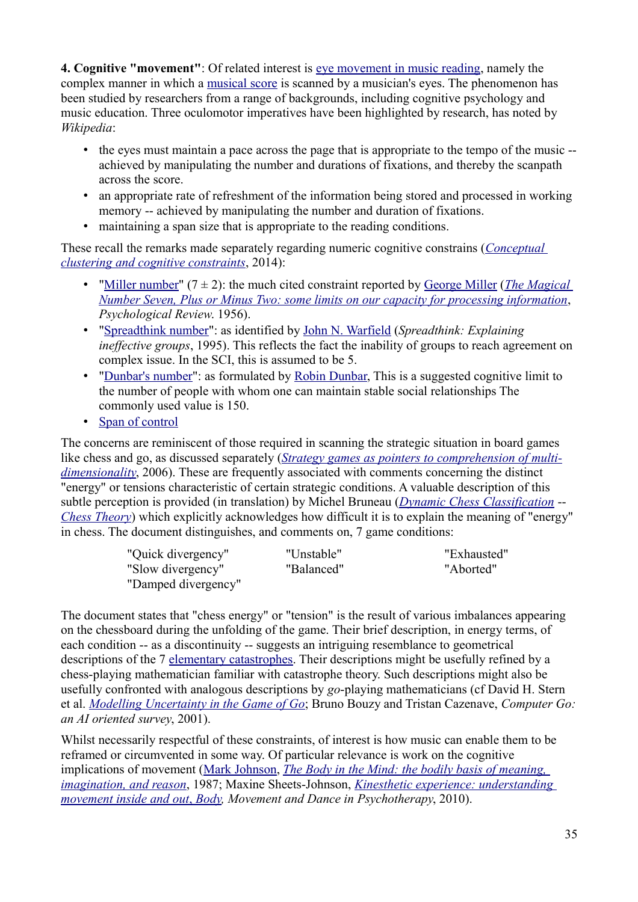**4. Cognitive "movement"**: Of related interest is eye movement in music reading, namely the complex manner in which a musical score is scanned by a musician's eyes. The phenomenon has been studied by researchers from a range of backgrounds, including cognitive psychology and music education. Three oculomotor imperatives have been highlighted by research, has noted by *Wikipedia*:

- the eyes must maintain a pace across the page that is appropriate to the tempo of the music achieved by manipulating the number and durations of fixations, and thereby the scanpath across the score.
- an appropriate rate of refreshment of the information being stored and processed in working memory -- achieved by manipulating the number and duration of fixations.
- maintaining a span size that is appropriate to the reading conditions.

These recall the remarks made separately regarding numeric cognitive constrains (*Conceptual clustering and cognitive constraints*, 2014):

- "Miller number" (7 ± 2): the much cited constraint reported by George Miller (*The Magical Number Seven, Plus or Minus Two: some limits on our capacity for processing information*, *Psychological Review*. 1956).
- "Spreadthink number": as identified by John N. Warfield (*Spreadthink: Explaining ineffective groups*, 1995). This reflects the fact the inability of groups to reach agreement on complex issue. In the SCI, this is assumed to be 5.
- "Dunbar's number": as formulated by Robin Dunbar, This is a suggested cognitive limit to the number of people with whom one can maintain stable social relationships The commonly used value is 150.
- Span of control

The concerns are reminiscent of those required in scanning the strategic situation in board games like chess and go, as discussed separately (*Strategy games as pointers to comprehension of multidimensionality*, 2006). These are frequently associated with comments concerning the distinct "energy" or tensions characteristic of certain strategic conditions. A valuable description of this subtle perception is provided (in translation) by Michel Bruneau (*Dynamic Chess Classification* -- *Chess Theory*) which explicitly acknowledges how difficult it is to explain the meaning of "energy" in chess. The document distinguishes, and comments on, 7 game conditions:

| "Quick divergency"  | "Unstable" | "Exhausted" |
|---------------------|------------|-------------|
| "Slow divergency"   | "Balanced" | "Aborted"   |
| "Damped divergency" |            |             |

The document states that "chess energy" or "tension" is the result of various imbalances appearing on the chessboard during the unfolding of the game. Their brief description, in energy terms, of each condition -- as a discontinuity -- suggests an intriguing resemblance to geometrical descriptions of the 7 elementary catastrophes. Their descriptions might be usefully refined by a chess-playing mathematician familiar with catastrophe theory. Such descriptions might also be usefully confronted with analogous descriptions by *go*-playing mathematicians (cf David H. Stern et al. *Modelling Uncertainty in the Game of Go*; Bruno Bouzy and Tristan Cazenave, *Computer Go: an AI oriented survey*, 2001).

Whilst necessarily respectful of these constraints, of interest is how music can enable them to be reframed or circumvented in some way. Of particular relevance is work on the cognitive implications of movement (Mark Johnson, *The Body in the Mind: the bodily basis of meaning, imagination, and reason*, 1987; Maxine Sheets-Johnson, *Kinesthetic experience: understanding movement inside and out* , *Body, Movement and Dance in Psychotherapy*, 2010).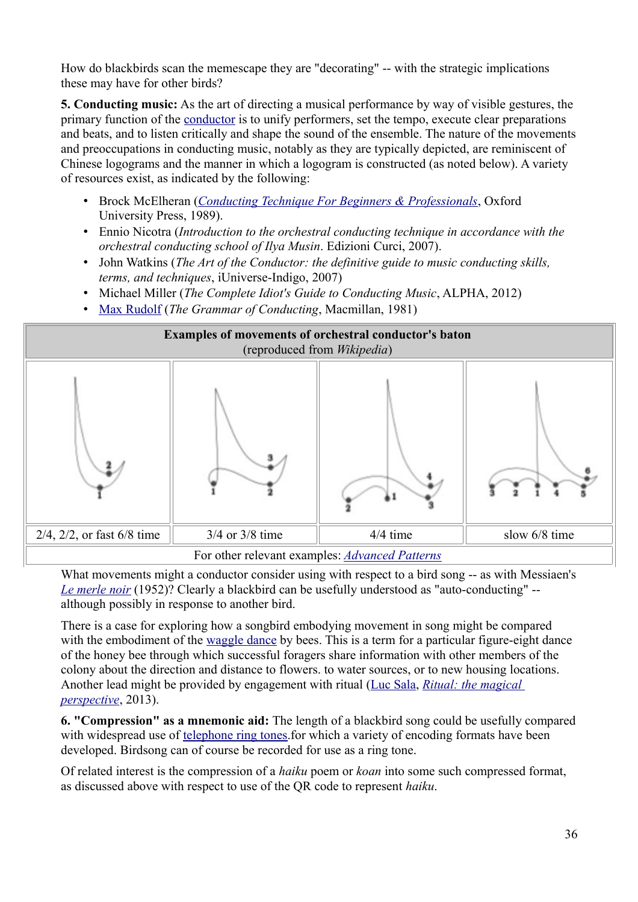How do blackbirds scan the memescape they are "decorating" -- with the strategic implications these may have for other birds?

**5. Conducting music:** As the art of directing a musical performance by way of visible gestures, the primary function of the conductor is to unify performers, set the tempo, execute clear preparations and beats, and to listen critically and shape the sound of the ensemble. The nature of the movements and preoccupations in conducting music, notably as they are typically depicted, are reminiscent of Chinese logograms and the manner in which a logogram is constructed (as noted below). A variety of resources exist, as indicated by the following:

- Brock McElheran (*Conducting Technique For Beginners & Professionals*, Oxford University Press, 1989).
- Ennio Nicotra (*Introduction to the orchestral conducting technique in accordance with the orchestral conducting school of Ilya Musin*. Edizioni Curci, 2007).
- John Watkins (*The Art of the Conductor: the definitive guide to music conducting skills, terms, and techniques*, iUniverse-Indigo, 2007)
- Michael Miller (*The Complete Idiot's Guide to Conducting Music*, ALPHA, 2012)
- Max Rudolf (*The Grammar of Conducting*, Macmillan, 1981)



What movements might a conductor consider using with respect to a bird song -- as with Messiaen's *Le merle noir* (1952)? Clearly a blackbird can be usefully understood as "auto-conducting" - although possibly in response to another bird.

There is a case for exploring how a songbird embodying movement in song might be compared with the embodiment of the waggle dance by bees. This is a term for a particular figure-eight dance of the honey bee through which successful foragers share information with other members of the colony about the direction and distance to flowers. to water sources, or to new housing locations. Another lead might be provided by engagement with ritual (Luc Sala, *Ritual: the magical perspective*, 2013).

**6. "Compression" as a mnemonic aid:** The length of a blackbird song could be usefully compared with widespread use of telephone ring tones.for which a variety of encoding formats have been developed. Birdsong can of course be recorded for use as a ring tone.

Of related interest is the compression of a *haiku* poem or *koan* into some such compressed format, as discussed above with respect to use of the QR code to represent *haiku*.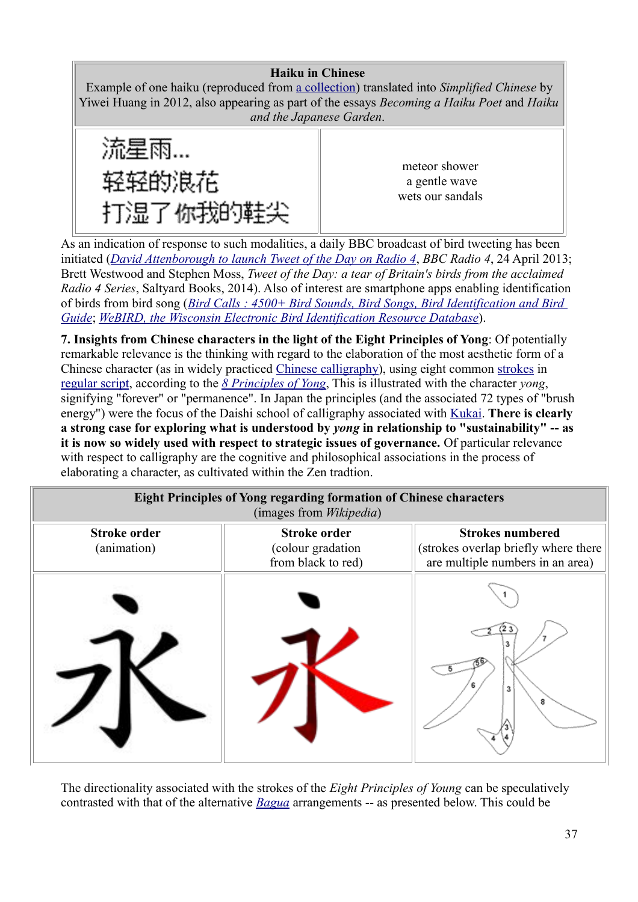### **Haiku in Chinese**

Example of one haiku (reproduced from a collection) translated into *Simplified Chinese* by Yiwei Huang in 2012, also appearing as part of the essays *Becoming a Haiku Poet* and *Haiku and the Japanese Garden*.



meteor shower a gentle wave wets our sandals

As an indication of response to such modalities, a daily BBC broadcast of bird tweeting has been initiated (*David Attenborough to launch Tweet of the Day on Radio 4*, *BBC Radio 4*, 24 April 2013; Brett Westwood and Stephen Moss, *Tweet of the Day: a tear of Britain's birds from the acclaimed Radio 4 Series*, Saltyard Books, 2014). Also of interest are smartphone apps enabling identification of birds from bird song (*Bird Calls : 4500+ Bird Sounds, Bird Songs, Bird Identification and Bird Guide*; *WeBIRD, the Wisconsin Electronic Bird Identification Resource Database*).

**7. Insights from Chinese characters in the light of the Eight Principles of Yong**: Of potentially remarkable relevance is the thinking with regard to the elaboration of the most aesthetic form of a Chinese character (as in widely practiced Chinese calligraphy), using eight common strokes in regular script, according to the *8 Principles of Yong*, This is illustrated with the character *yong*, signifying "forever" or "permanence". In Japan the principles (and the associated 72 types of "brush energy") were the focus of the Daishi school of calligraphy associated with **Kukai**. There is clearly **a strong case for exploring what is understood by** *yong* **in relationship to "sustainability" -- as it is now so widely used with respect to strategic issues of governance.** Of particular relevance with respect to calligraphy are the cognitive and philosophical associations in the process of elaborating a character, as cultivated within the Zen tradtion.

| <b>Eight Principles of Yong regarding formation of Chinese characters</b><br>(images from <i>Wikipedia</i> ) |                                                                |                                                                                                     |  |  |  |  |
|--------------------------------------------------------------------------------------------------------------|----------------------------------------------------------------|-----------------------------------------------------------------------------------------------------|--|--|--|--|
| <b>Stroke order</b><br>(animation)                                                                           | <b>Stroke order</b><br>(colour gradation<br>from black to red) | <b>Strokes numbered</b><br>(strokes overlap briefly where there<br>are multiple numbers in an area) |  |  |  |  |
|                                                                                                              |                                                                | 3<br>8                                                                                              |  |  |  |  |

The directionality associated with the strokes of the *Eight Principles of Young* can be speculatively contrasted with that of the alternative *Bagua* arrangements -- as presented below. This could be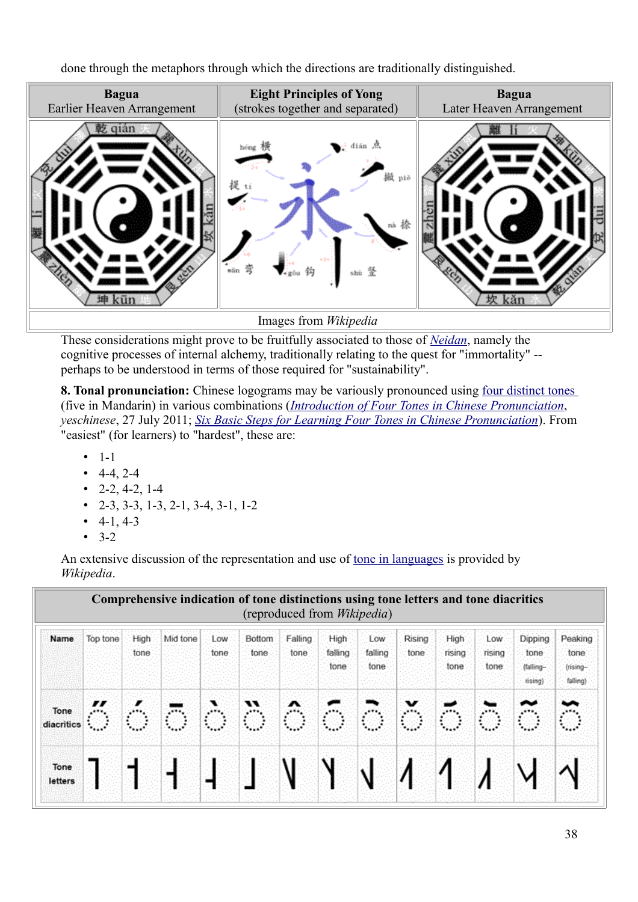done through the metaphors through which the directions are traditionally distinguished.



These considerations might prove to be fruitfully associated to those of *Neidan*, namely the cognitive processes of internal alchemy, traditionally relating to the quest for "immortality" - perhaps to be understood in terms of those required for "sustainability".

**8. Tonal pronunciation:** Chinese logograms may be variously pronounced using four distinct tones (five in Mandarin) in various combinations (*Introduction of Four Tones in Chinese Pronunciation*, *yeschinese*, 27 July 2011; *Six Basic Steps for Learning Four Tones in Chinese Pronunciation*). From "easiest" (for learners) to "hardest", these are:

- $1-1$
- $-4-4, 2-4$
- $2-2, 4-2, 1-4$
- 2-3, 3-3, 1-3, 2-1, 3-4, 3-1, 1-2
- $4-1, 4-3$
- $3-2$

An extensive discussion of the representation and use of tone in languages is provided by *Wikipedia*.

|                    |          |              |          |              |                | (reproduced from <i>Wikipedia</i> ) |                         |                        |                       |                        |                         |                                         |                                                      |
|--------------------|----------|--------------|----------|--------------|----------------|-------------------------------------|-------------------------|------------------------|-----------------------|------------------------|-------------------------|-----------------------------------------|------------------------------------------------------|
| Name               | Top tone | High<br>tone | Mid tone | Low.<br>tone | Bottom<br>tone | Falling<br>tone                     | High<br>falling<br>tone | Low<br>falling<br>tone | <b>Rising</b><br>tone | High<br>rising<br>tone | Low.<br>rising<br>tone: | Dipping<br>tone<br>(falling-<br>rising) | Peaking<br>tone <sup>®</sup><br>(rising-<br>falling) |
| Tone<br>diacritics |          |              | 65       | ra 1         | ैं             | $\mathbb{R}^n$                      |                         | ÒG.                    | $\mathbb{R}$          |                        |                         |                                         |                                                      |
| Tone<br>letters    |          |              |          |              |                |                                     |                         | √                      |                       |                        |                         |                                         |                                                      |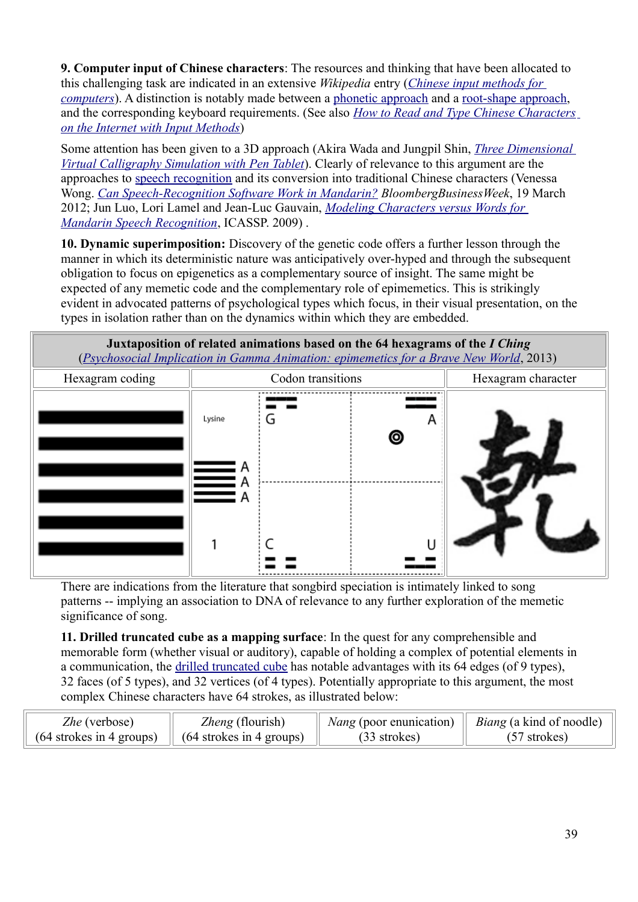**9. Computer input of Chinese characters**: The resources and thinking that have been allocated to this challenging task are indicated in an extensive *Wikipedia* entry (*Chinese input methods for computers*). A distinction is notably made between a phonetic approach and a root-shape approach, and the corresponding keyboard requirements. (See also *How to Read and Type Chinese Characters on the Internet with Input Methods*)

Some attention has been given to a 3D approach (Akira Wada and Jungpil Shin, *Three Dimensional Virtual Calligraphy Simulation with Pen Tablet*). Clearly of relevance to this argument are the approaches to speech recognition and its conversion into traditional Chinese characters (Venessa Wong. *Can Speech-Recognition Software Work in Mandarin? BloombergBusinessWeek*, 19 March 2012; Jun Luo, Lori Lamel and Jean-Luc Gauvain, *Modeling Characters versus Words for Mandarin Speech Recognition*, ICASSP. 2009) .

**10. Dynamic superimposition:** Discovery of the genetic code offers a further lesson through the manner in which its deterministic nature was anticipatively over-hyped and through the subsequent obligation to focus on epigenetics as a complementary source of insight. The same might be expected of any memetic code and the complementary role of epimemetics. This is strikingly evident in advocated patterns of psychological types which focus, in their visual presentation, on the types in isolation rather than on the dynamics within which they are embedded.



There are indications from the literature that songbird speciation is intimately linked to song patterns -- implying an association to DNA of relevance to any further exploration of the memetic significance of song.

**11. Drilled truncated cube as a mapping surface**: In the quest for any comprehensible and memorable form (whether visual or auditory), capable of holding a complex of potential elements in a communication, the drilled truncated cube has notable advantages with its 64 edges (of 9 types), 32 faces (of 5 types), and 32 vertices (of 4 types). Potentially appropriate to this argument, the most complex Chinese characters have 64 strokes, as illustrated below:

| <i>Zhe</i> (verbose)                                  | <i>Zheng</i> (flourish) | <i>Nang</i> (poor enunication) | <i>Biang</i> (a kind of noodle) |
|-------------------------------------------------------|-------------------------|--------------------------------|---------------------------------|
| $(64$ strokes in 4 groups) $(64$ strokes in 4 groups) |                         | $(33$ strokes)                 | $(57$ strokes)                  |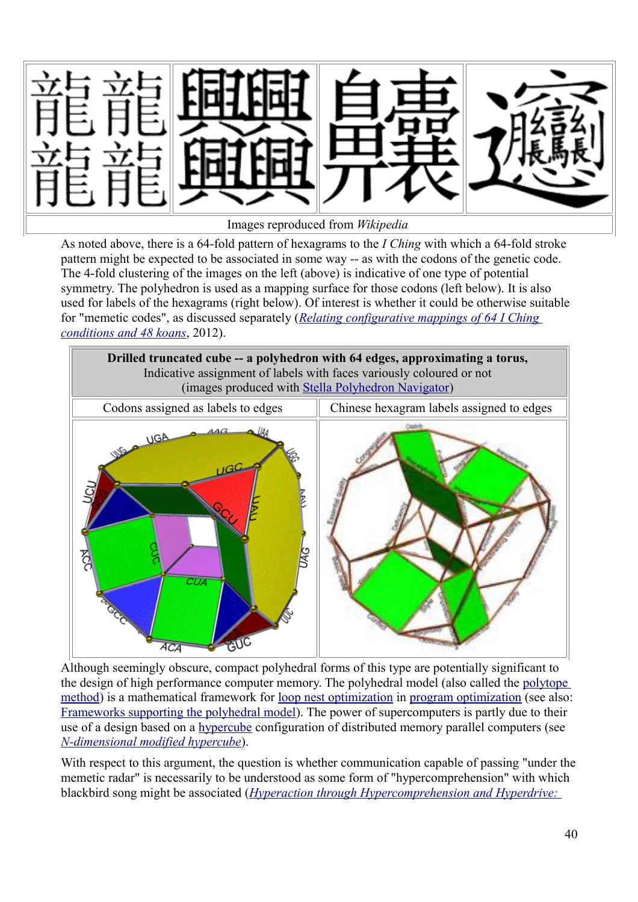

As noted above, there is a 64-fold pattern of hexagrams to the *I Ching* with which a 64-fold stroke pattern might be expected to be associated in some way -- as with the codons of the genetic code. The 4-fold clustering of the images on the left (above) is indicative of one type of potential symmetry. The polyhedron is used as a mapping surface for those codons (left below). It is also used for labels of the hexagrams (right below). Of interest is whether it could be otherwise suitable for "memetic codes", as discussed separately (*Relating configurative mappings of 64 I Ching conditions and 48 koans*, 2012).



Although seemingly obscure, compact polyhedral forms of this type are potentially significant to the design of high performance computer memory. The polyhedral model (also called the polytope method) is a mathematical framework for loop nest optimization in program optimization (see also: Frameworks supporting the polyhedral model). The power of supercomputers is partly due to their use of a design based on a hypercube configuration of distributed memory parallel computers (see *N-dimensional modified hypercube*).

With respect to this argument, the question is whether communication capable of passing "under the memetic radar" is necessarily to be understood as some form of "hypercomprehension" with which blackbird song might be associated (*Hyperaction through Hypercomprehension and Hyperdrive:*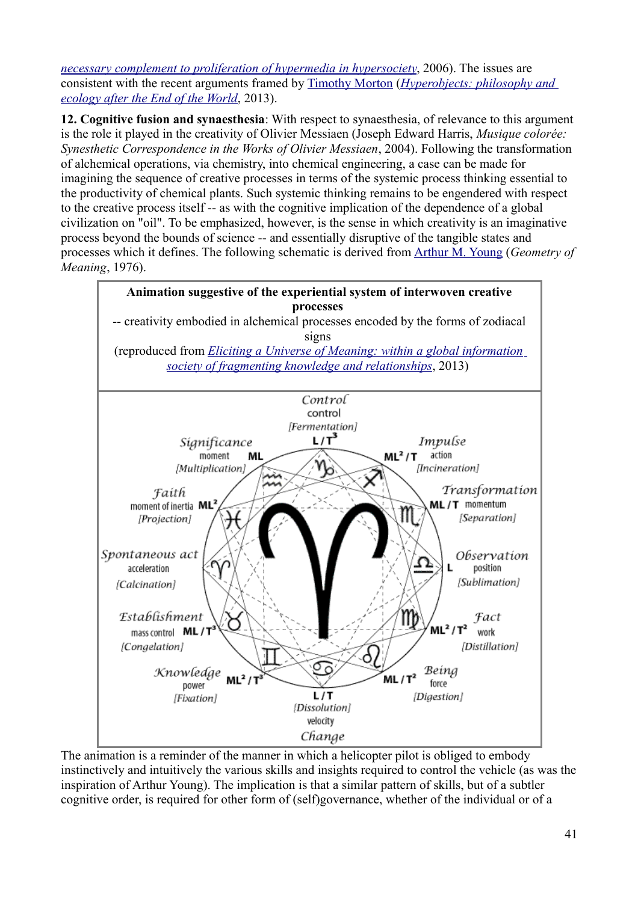*necessary complement to proliferation of hypermedia in hypersociety*, 2006). The issues are consistent with the recent arguments framed by Timothy Morton (*Hyperobjects: philosophy and ecology after the End of the World*, 2013).

**12. Cognitive fusion and synaesthesia**: With respect to synaesthesia, of relevance to this argument is the role it played in the creativity of Olivier Messiaen (Joseph Edward Harris, *Musique colorée: Synesthetic Correspondence in the Works of Olivier Messiaen*, 2004). Following the transformation of alchemical operations, via chemistry, into chemical engineering, a case can be made for imagining the sequence of creative processes in terms of the systemic process thinking essential to the productivity of chemical plants. Such systemic thinking remains to be engendered with respect to the creative process itself -- as with the cognitive implication of the dependence of a global civilization on "oil". To be emphasized, however, is the sense in which creativity is an imaginative process beyond the bounds of science -- and essentially disruptive of the tangible states and processes which it defines. The following schematic is derived from Arthur M. Young (*Geometry of Meaning*, 1976).



The animation is a reminder of the manner in which a helicopter pilot is obliged to embody instinctively and intuitively the various skills and insights required to control the vehicle (as was the inspiration of Arthur Young). The implication is that a similar pattern of skills, but of a subtler cognitive order, is required for other form of (self)governance, whether of the individual or of a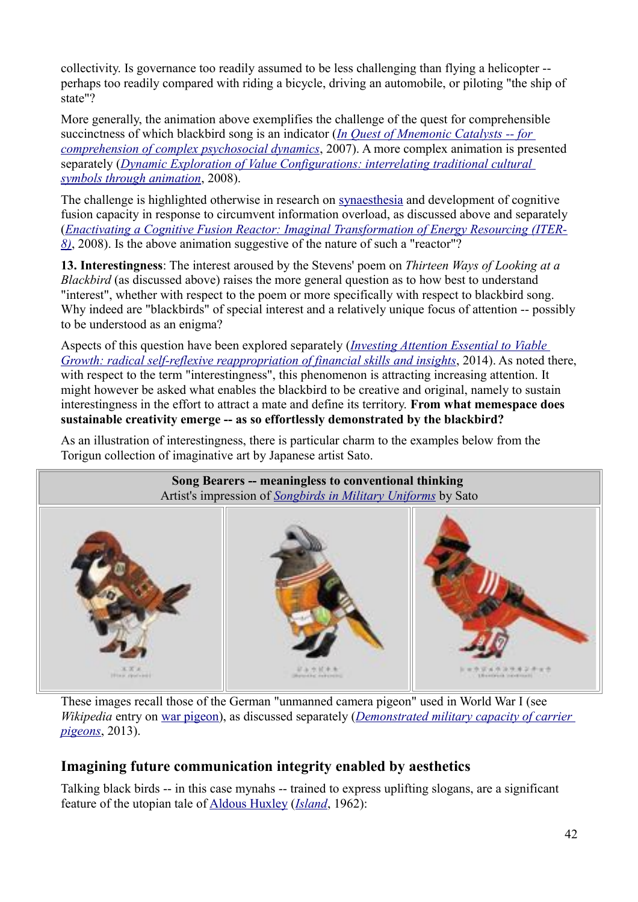collectivity. Is governance too readily assumed to be less challenging than flying a helicopter - perhaps too readily compared with riding a bicycle, driving an automobile, or piloting "the ship of state"?

More generally, the animation above exemplifies the challenge of the quest for comprehensible succinctness of which blackbird song is an indicator (*In Quest of Mnemonic Catalysts -- for comprehension of complex psychosocial dynamics*, 2007). A more complex animation is presented separately (*Dynamic Exploration of Value Configurations: interrelating traditional cultural symbols through animation*, 2008).

The challenge is highlighted otherwise in research on synaesthesia and development of cognitive fusion capacity in response to circumvent information overload, as discussed above and separately (*Enactivating a Cognitive Fusion Reactor: Imaginal Transformation of Energy Resourcing (ITER-8)*, 2008). Is the above animation suggestive of the nature of such a "reactor"?

**13. Interestingness**: The interest aroused by the Stevens' poem on *Thirteen Ways of Looking at a Blackbird* (as discussed above) raises the more general question as to how best to understand "interest", whether with respect to the poem or more specifically with respect to blackbird song. Why indeed are "blackbirds" of special interest and a relatively unique focus of attention -- possibly to be understood as an enigma?

Aspects of this question have been explored separately (*Investing Attention Essential to Viable Growth: radical self-reflexive reappropriation of financial skills and insights*, 2014). As noted there, with respect to the term "interestingness", this phenomenon is attracting increasing attention. It might however be asked what enables the blackbird to be creative and original, namely to sustain interestingness in the effort to attract a mate and define its territory. **From what memespace does sustainable creativity emerge -- as so effortlessly demonstrated by the blackbird?** 

As an illustration of interestingness, there is particular charm to the examples below from the Torigun collection of imaginative art by Japanese artist Sato.



These images recall those of the German "unmanned camera pigeon" used in World War I (see *Wikipedia* entry on war pigeon), as discussed separately (*Demonstrated military capacity of carrier pigeons*, 2013).

### **Imagining future communication integrity enabled by aesthetics**

Talking black birds -- in this case mynahs -- trained to express uplifting slogans, are a significant feature of the utopian tale of Aldous Huxley (*Island*, 1962):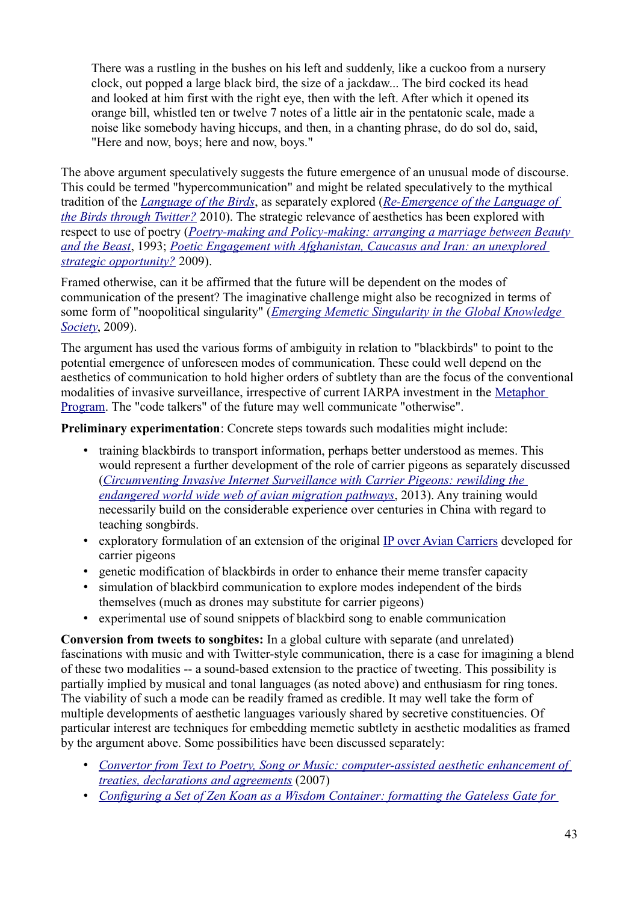There was a rustling in the bushes on his left and suddenly, like a cuckoo from a nursery clock, out popped a large black bird, the size of a jackdaw... The bird cocked its head and looked at him first with the right eye, then with the left. After which it opened its orange bill, whistled ten or twelve 7 notes of a little air in the pentatonic scale, made a noise like somebody having hiccups, and then, in a chanting phrase, do do sol do, said, "Here and now, boys; here and now, boys."

The above argument speculatively suggests the future emergence of an unusual mode of discourse. This could be termed "hypercommunication" and might be related speculatively to the mythical tradition of the *Language of the Birds*, as separately explored (*Re-Emergence of the Language of the Birds through Twitter?* 2010). The strategic relevance of aesthetics has been explored with respect to use of poetry (*Poetry-making and Policy-making: arranging a marriage between Beauty and the Beast*, 1993; *Poetic Engagement with Afghanistan, Caucasus and Iran: an unexplored strategic opportunity?* 2009).

Framed otherwise, can it be affirmed that the future will be dependent on the modes of communication of the present? The imaginative challenge might also be recognized in terms of some form of "noopolitical singularity" (*Emerging Memetic Singularity in the Global Knowledge Society*, 2009).

The argument has used the various forms of ambiguity in relation to "blackbirds" to point to the potential emergence of unforeseen modes of communication. These could well depend on the aesthetics of communication to hold higher orders of subtlety than are the focus of the conventional modalities of invasive surveillance, irrespective of current IARPA investment in the Metaphor Program. The "code talkers" of the future may well communicate "otherwise".

**Preliminary experimentation**: Concrete steps towards such modalities might include:

- training blackbirds to transport information, perhaps better understood as memes. This would represent a further development of the role of carrier pigeons as separately discussed (*Circumventing Invasive Internet Surveillance with Carrier Pigeons: rewilding the endangered world wide web of avian migration pathways*, 2013). Any training would necessarily build on the considerable experience over centuries in China with regard to teaching songbirds.
- exploratory formulation of an extension of the original IP over Avian Carriers developed for carrier pigeons
- genetic modification of blackbirds in order to enhance their meme transfer capacity
- simulation of blackbird communication to explore modes independent of the birds themselves (much as drones may substitute for carrier pigeons)
- experimental use of sound snippets of blackbird song to enable communication

**Conversion from tweets to songbites:** In a global culture with separate (and unrelated) fascinations with music and with Twitter-style communication, there is a case for imagining a blend of these two modalities -- a sound-based extension to the practice of tweeting. This possibility is partially implied by musical and tonal languages (as noted above) and enthusiasm for ring tones. The viability of such a mode can be readily framed as credible. It may well take the form of multiple developments of aesthetic languages variously shared by secretive constituencies. Of particular interest are techniques for embedding memetic subtlety in aesthetic modalities as framed by the argument above. Some possibilities have been discussed separately:

- • *Convertor from Text to Poetry, Song or Music: computer-assisted aesthetic enhancement of treaties, declarations and agreements* (2007)
- *Configuring a Set of Zen Koan as a Wisdom Container: formatting the Gateless Gate for*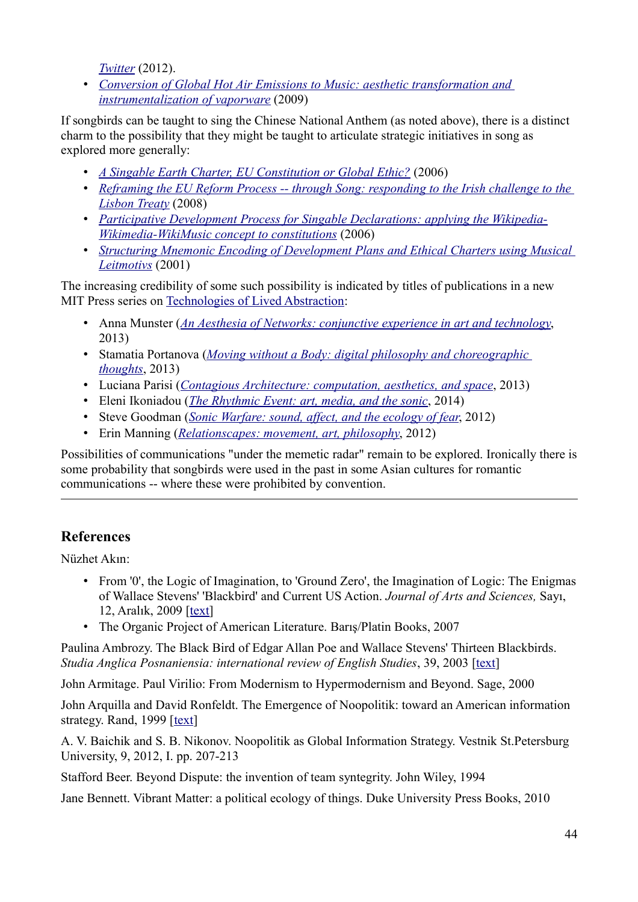*Twitter* (2012).

• *Conversion of Global Hot Air Emissions to Music: aesthetic transformation and instrumentalization of vaporware* (2009)

If songbirds can be taught to sing the Chinese National Anthem (as noted above), there is a distinct charm to the possibility that they might be taught to articulate strategic initiatives in song as explored more generally:

- • *A Singable Earth Charter, EU Constitution or Global Ethic?* (2006)
- *Reframing the EU Reform Process -- through Song: responding to the Irish challenge to the Lisbon Treaty* (2008)
- *Participative Development Process for Singable Declarations: applying the Wikipedia-Wikimedia-WikiMusic concept to constitutions* (2006)
- *Structuring Mnemonic Encoding of Development Plans and Ethical Charters using Musical Leitmotivs* (2001)

The increasing credibility of some such possibility is indicated by titles of publications in a new MIT Press series on Technologies of Lived Abstraction:

- Anna Munster (*An Aesthesia of Networks: conjunctive experience in art and technology*, 2013)
- Stamatia Portanova (*Moving without a Body: digital philosophy and choreographic thoughts*, 2013)
- Luciana Parisi (*Contagious Architecture: computation, aesthetics, and space*, 2013)
- Eleni Ikoniadou (*The Rhythmic Event: art, media, and the sonic*, 2014)
- Steve Goodman (*Sonic Warfare: sound, affect, and the ecology of fear*, 2012)
- Erin Manning (*Relationscapes: movement, art, philosophy*, 2012)

Possibilities of communications "under the memetic radar" remain to be explored. Ironically there is some probability that songbirds were used in the past in some Asian cultures for romantic communications -- where these were prohibited by convention.

# **References**

Nüzhet Akın:

- From '0', the Logic of Imagination, to 'Ground Zero', the Imagination of Logic: The Enigmas of Wallace Stevens' 'Blackbird' and Current US Action. *Journal of Arts and Sciences,* Sayı, 12, Aralık, 2009 [text]
- The Organic Project of American Literature. Barış/Platin Books, 2007

Paulina Ambrozy. The Black Bird of Edgar Allan Poe and Wallace Stevens' Thirteen Blackbirds. *Studia Anglica Posnaniensia: international review of English Studies*, 39, 2003 [text]

John Armitage. Paul Virilio: From Modernism to Hypermodernism and Beyond. Sage, 2000

John Arquilla and David Ronfeldt. The Emergence of Noopolitik: toward an American information strategy. Rand, 1999 [text]

A. V. Baichik and S. B. Nikonov. Noopolitik as Global Information Strategy. Vestnik St.Petersburg University, 9, 2012, I. pp. 207-213

Stafford Beer. Beyond Dispute: the invention of team syntegrity. John Wiley, 1994

Jane Bennett. Vibrant Matter: a political ecology of things. Duke University Press Books, 2010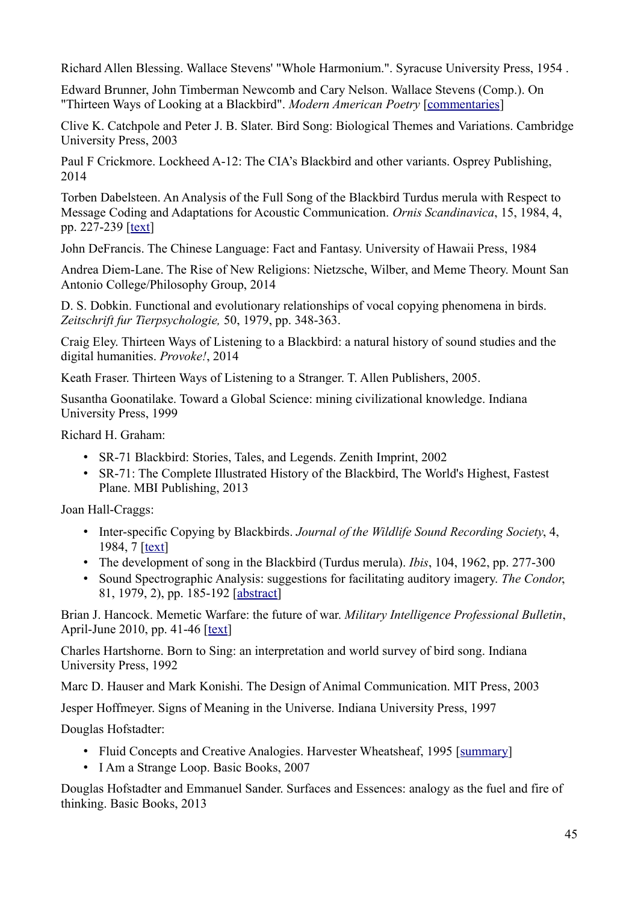Richard Allen Blessing. Wallace Stevens' "Whole Harmonium.". Syracuse University Press, 1954 .

Edward Brunner, John Timberman Newcomb and Cary Nelson. Wallace Stevens (Comp.). On "Thirteen Ways of Looking at a Blackbird". *Modern American Poetry* [commentaries]

Clive K. Catchpole and Peter J. B. Slater. Bird Song: Biological Themes and Variations. Cambridge University Press, 2003

Paul F Crickmore. Lockheed A-12: The CIA's Blackbird and other variants. Osprey Publishing, 2014

Torben Dabelsteen. An Analysis of the Full Song of the Blackbird Turdus merula with Respect to Message Coding and Adaptations for Acoustic Communication. *Ornis Scandinavica*, 15, 1984, 4, pp. 227-239  $[text]$ 

John DeFrancis. The Chinese Language: Fact and Fantasy. University of Hawaii Press, 1984

Andrea Diem-Lane. The Rise of New Religions: Nietzsche, Wilber, and Meme Theory. Mount San Antonio College/Philosophy Group, 2014

D. S. Dobkin. Functional and evolutionary relationships of vocal copying phenomena in birds. *Zeitschrift fur Tierpsychologie,* 50, 1979, pp. 348-363.

Craig Eley. Thirteen Ways of Listening to a Blackbird: a natural history of sound studies and the digital humanities. *Provoke!*, 2014

Keath Fraser. Thirteen Ways of Listening to a Stranger. T. Allen Publishers, 2005.

Susantha Goonatilake. Toward a Global Science: mining civilizational knowledge. Indiana University Press, 1999

Richard H. Graham:

- SR-71 Blackbird: Stories, Tales, and Legends. Zenith Imprint, 2002
- SR-71: The Complete Illustrated History of the Blackbird, The World's Highest, Fastest Plane. MBI Publishing, 2013

Joan Hall-Craggs:

- Inter-specific Copying by Blackbirds. *Journal of the Wildlife Sound Recording Society*, 4, 1984, 7 [text]
- The development of song in the Blackbird (Turdus merula). *Ibis*, 104, 1962, pp. 277-300
- Sound Spectrographic Analysis: suggestions for facilitating auditory imagery. *The Condor*, 81, 1979, 2), pp. 185-192 [abstract]

Brian J. Hancock. Memetic Warfare: the future of war. *Military Intelligence Professional Bulletin*, April-June 2010, pp. 41-46 [text]

Charles Hartshorne. Born to Sing: an interpretation and world survey of bird song. Indiana University Press, 1992

Marc D. Hauser and Mark Konishi. The Design of Animal Communication. MIT Press, 2003

Jesper Hoffmeyer. Signs of Meaning in the Universe. Indiana University Press, 1997

Douglas Hofstadter:

- Fluid Concepts and Creative Analogies. Harvester Wheatsheaf, 1995 [summary]
- I Am a Strange Loop. Basic Books, 2007

Douglas Hofstadter and Emmanuel Sander. Surfaces and Essences: analogy as the fuel and fire of thinking. Basic Books, 2013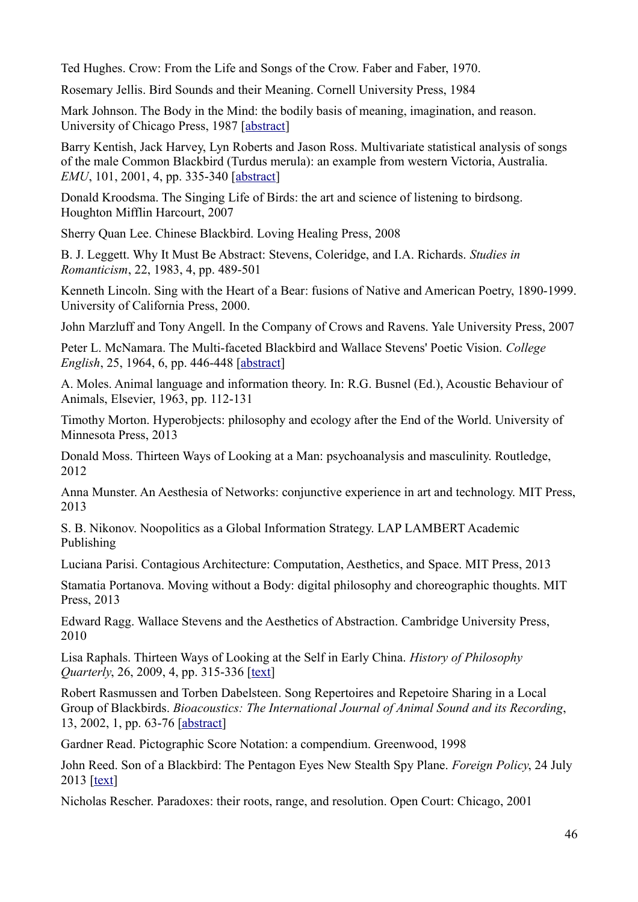Ted Hughes. Crow: From the Life and Songs of the Crow. Faber and Faber, 1970.

Rosemary Jellis. Bird Sounds and their Meaning. Cornell University Press, 1984

Mark Johnson. The Body in the Mind: the bodily basis of meaning, imagination, and reason. University of Chicago Press, 1987 [abstract]

Barry Kentish, Jack Harvey, Lyn Roberts and Jason Ross. Multivariate statistical analysis of songs of the male Common Blackbird (Turdus merula): an example from western Victoria, Australia. *EMU*, 101, 2001, 4, pp. 335-340 [abstract]

Donald Kroodsma. The Singing Life of Birds: the art and science of listening to birdsong. Houghton Mifflin Harcourt, 2007

Sherry Quan Lee. Chinese Blackbird. Loving Healing Press, 2008

B. J. Leggett. Why It Must Be Abstract: Stevens, Coleridge, and I.A. Richards. *Studies in Romanticism*, 22, 1983, 4, pp. 489-501

Kenneth Lincoln. Sing with the Heart of a Bear: fusions of Native and American Poetry, 1890-1999. University of California Press, 2000.

John Marzluff and Tony Angell. In the Company of Crows and Ravens. Yale University Press, 2007

Peter L. McNamara. The Multi-faceted Blackbird and Wallace Stevens' Poetic Vision. *College English*, 25, 1964, 6, pp. 446-448 [abstract]

A. Moles. Animal language and information theory. In: R.G. Busnel (Ed.), Acoustic Behaviour of Animals, Elsevier, 1963, pp. 112-131

Timothy Morton. Hyperobjects: philosophy and ecology after the End of the World. University of Minnesota Press, 2013

Donald Moss. Thirteen Ways of Looking at a Man: psychoanalysis and masculinity. Routledge, 2012

Anna Munster. An Aesthesia of Networks: conjunctive experience in art and technology. MIT Press, 2013

S. B. Nikonov. Noopolitics as a Global Information Strategy. LAP LAMBERT Academic Publishing

Luciana Parisi. Contagious Architecture: Computation, Aesthetics, and Space. MIT Press, 2013

Stamatia Portanova. Moving without a Body: digital philosophy and choreographic thoughts. MIT Press, 2013

Edward Ragg. Wallace Stevens and the Aesthetics of Abstraction. Cambridge University Press, 2010

Lisa Raphals. Thirteen Ways of Looking at the Self in Early China. *History of Philosophy Quarterly*, 26, 2009, 4, pp. 315-336 [text]

Robert Rasmussen and Torben Dabelsteen. Song Repertoires and Repetoire Sharing in a Local Group of Blackbirds. *Bioacoustics: The International Journal of Animal Sound and its Recording*, 13, 2002, 1, pp. 63-76 [abstract]

Gardner Read. Pictographic Score Notation: a compendium. Greenwood, 1998

John Reed. Son of a Blackbird: The Pentagon Eyes New Stealth Spy Plane. *Foreign Policy*, 24 July 2013 [text]

Nicholas Rescher. Paradoxes: their roots, range, and resolution. Open Court: Chicago, 2001